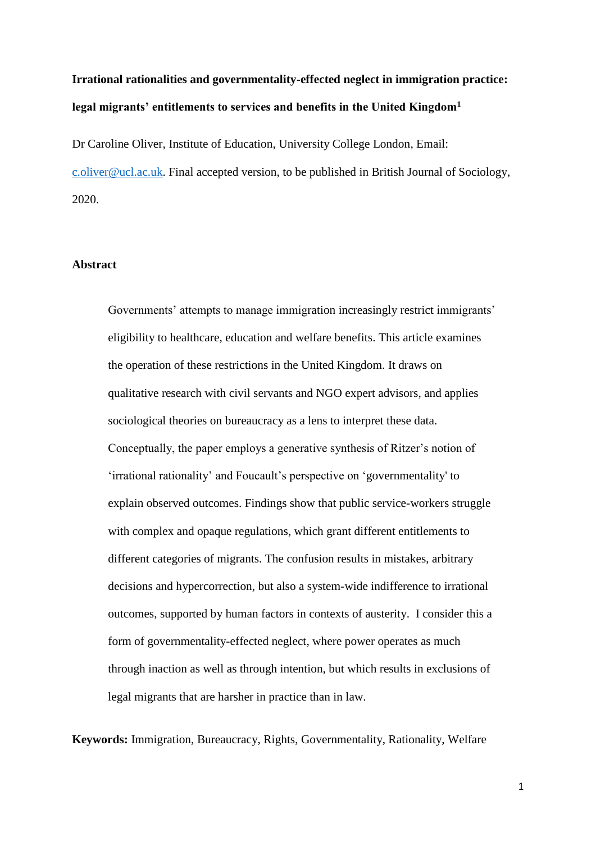# **Irrational rationalities and governmentality-effected neglect in immigration practice: legal migrants' entitlements to services and benefits in the United Kingdom<sup>1</sup>**

Dr Caroline Oliver, Institute of Education, University College London, Email: [c.oliver@ucl.ac.uk.](mailto:c.oliver@ucl.ac.uk) Final accepted version, to be published in British Journal of Sociology, 2020.

# **Abstract**

Governments' attempts to manage immigration increasingly restrict immigrants' eligibility to healthcare, education and welfare benefits. This article examines the operation of these restrictions in the United Kingdom. It draws on qualitative research with civil servants and NGO expert advisors, and applies sociological theories on bureaucracy as a lens to interpret these data. Conceptually, the paper employs a generative synthesis of Ritzer's notion of 'irrational rationality' and Foucault's perspective on 'governmentality' to explain observed outcomes. Findings show that public service-workers struggle with complex and opaque regulations, which grant different entitlements to different categories of migrants. The confusion results in mistakes, arbitrary decisions and hypercorrection, but also a system-wide indifference to irrational outcomes, supported by human factors in contexts of austerity. I consider this a form of governmentality-effected neglect, where power operates as much through inaction as well as through intention, but which results in exclusions of legal migrants that are harsher in practice than in law.

**Keywords:** Immigration, Bureaucracy, Rights, Governmentality, Rationality, Welfare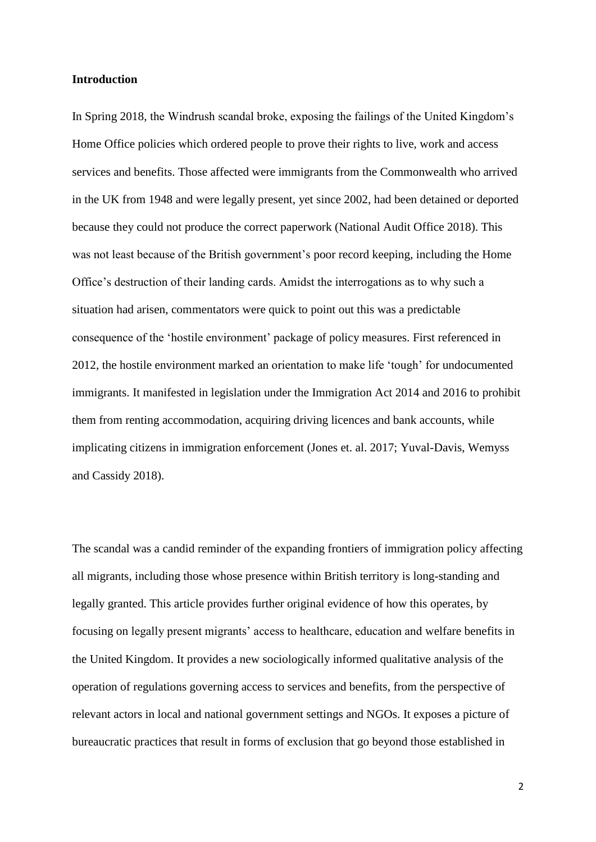#### **Introduction**

In Spring 2018, the Windrush scandal broke, exposing the failings of the United Kingdom's Home Office policies which ordered people to prove their rights to live, work and access services and benefits. Those affected were immigrants from the Commonwealth who arrived in the UK from 1948 and were legally present, yet since 2002, had been detained or deported because they could not produce the correct paperwork (National Audit Office 2018). This was not least because of the British government's poor record keeping, including the Home Office's destruction of their landing cards. Amidst the interrogations as to why such a situation had arisen, commentators were quick to point out this was a predictable consequence of the 'hostile environment' package of policy measures. First referenced in 2012, the hostile environment marked an orientation to make life 'tough' for undocumented immigrants. It manifested in legislation under the Immigration Act 2014 and 2016 to prohibit them from renting accommodation, acquiring driving licences and bank accounts, while implicating citizens in immigration enforcement (Jones et. al. 2017; Yuval-Davis, Wemyss and Cassidy 2018).

The scandal was a candid reminder of the expanding frontiers of immigration policy affecting all migrants, including those whose presence within British territory is long-standing and legally granted. This article provides further original evidence of how this operates, by focusing on legally present migrants' access to healthcare, education and welfare benefits in the United Kingdom. It provides a new sociologically informed qualitative analysis of the operation of regulations governing access to services and benefits, from the perspective of relevant actors in local and national government settings and NGOs. It exposes a picture of bureaucratic practices that result in forms of exclusion that go beyond those established in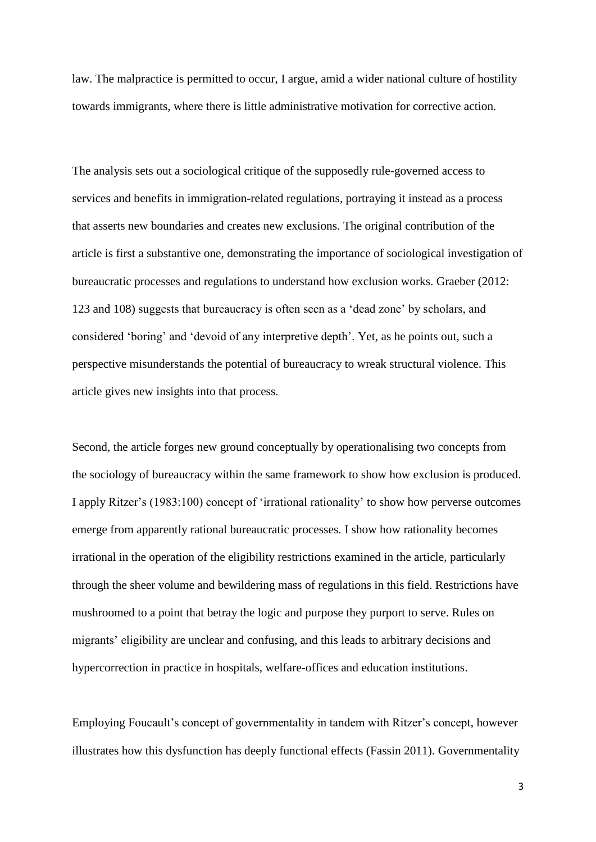law. The malpractice is permitted to occur, I argue, amid a wider national culture of hostility towards immigrants, where there is little administrative motivation for corrective action.

The analysis sets out a sociological critique of the supposedly rule-governed access to services and benefits in immigration-related regulations, portraying it instead as a process that asserts new boundaries and creates new exclusions. The original contribution of the article is first a substantive one, demonstrating the importance of sociological investigation of bureaucratic processes and regulations to understand how exclusion works. Graeber (2012: 123 and 108) suggests that bureaucracy is often seen as a 'dead zone' by scholars, and considered 'boring' and 'devoid of any interpretive depth'. Yet, as he points out, such a perspective misunderstands the potential of bureaucracy to wreak structural violence. This article gives new insights into that process.

Second, the article forges new ground conceptually by operationalising two concepts from the sociology of bureaucracy within the same framework to show how exclusion is produced. I apply Ritzer's (1983:100) concept of 'irrational rationality' to show how perverse outcomes emerge from apparently rational bureaucratic processes. I show how rationality becomes irrational in the operation of the eligibility restrictions examined in the article, particularly through the sheer volume and bewildering mass of regulations in this field. Restrictions have mushroomed to a point that betray the logic and purpose they purport to serve. Rules on migrants' eligibility are unclear and confusing, and this leads to arbitrary decisions and hypercorrection in practice in hospitals, welfare-offices and education institutions.

Employing Foucault's concept of governmentality in tandem with Ritzer's concept, however illustrates how this dysfunction has deeply functional effects (Fassin 2011). Governmentality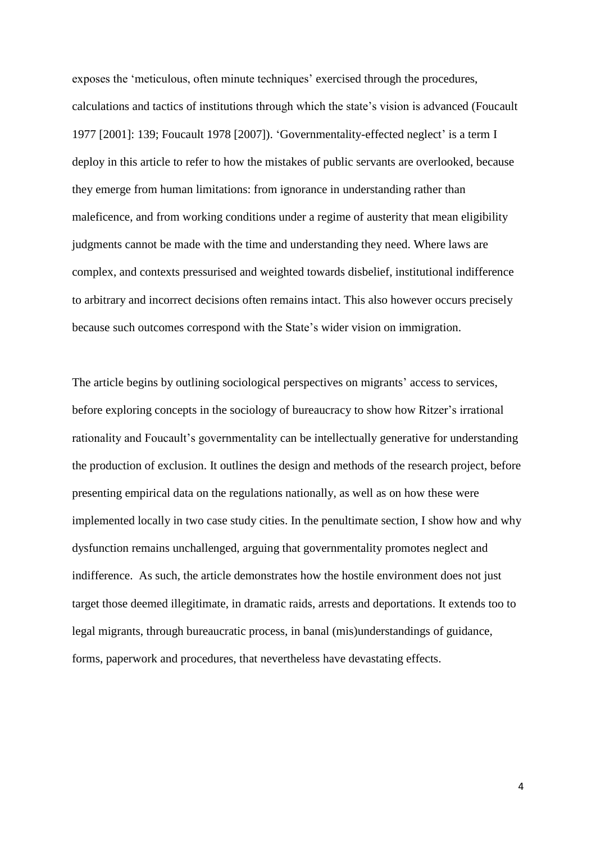exposes the 'meticulous, often minute techniques' exercised through the procedures, calculations and tactics of institutions through which the state's vision is advanced (Foucault 1977 [2001]: 139; Foucault 1978 [2007]). 'Governmentality-effected neglect' is a term I deploy in this article to refer to how the mistakes of public servants are overlooked, because they emerge from human limitations: from ignorance in understanding rather than maleficence, and from working conditions under a regime of austerity that mean eligibility judgments cannot be made with the time and understanding they need. Where laws are complex, and contexts pressurised and weighted towards disbelief, institutional indifference to arbitrary and incorrect decisions often remains intact. This also however occurs precisely because such outcomes correspond with the State's wider vision on immigration.

The article begins by outlining sociological perspectives on migrants' access to services, before exploring concepts in the sociology of bureaucracy to show how Ritzer's irrational rationality and Foucault's governmentality can be intellectually generative for understanding the production of exclusion. It outlines the design and methods of the research project, before presenting empirical data on the regulations nationally, as well as on how these were implemented locally in two case study cities. In the penultimate section, I show how and why dysfunction remains unchallenged, arguing that governmentality promotes neglect and indifference. As such, the article demonstrates how the hostile environment does not just target those deemed illegitimate, in dramatic raids, arrests and deportations. It extends too to legal migrants, through bureaucratic process, in banal (mis)understandings of guidance, forms, paperwork and procedures, that nevertheless have devastating effects.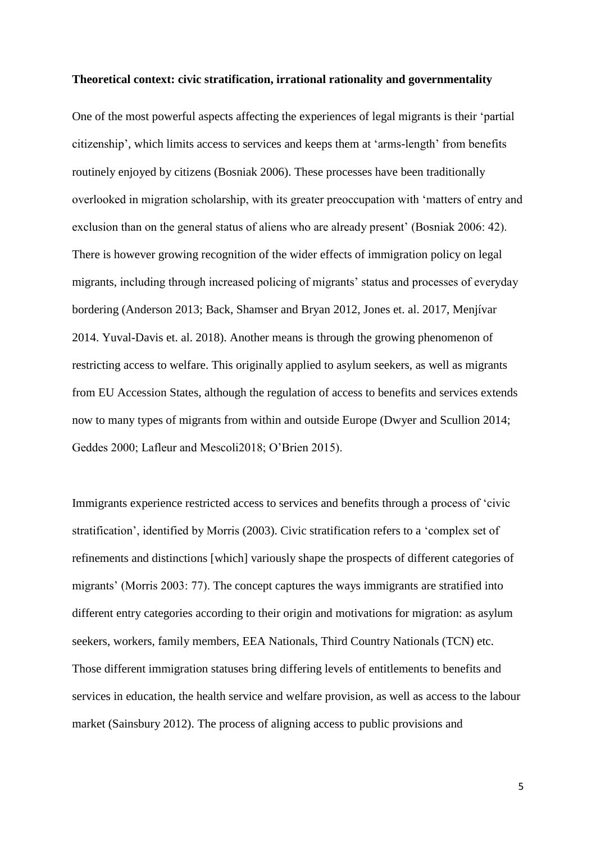#### **Theoretical context: civic stratification, irrational rationality and governmentality**

One of the most powerful aspects affecting the experiences of legal migrants is their 'partial citizenship', which limits access to services and keeps them at 'arms-length' from benefits routinely enjoyed by citizens (Bosniak 2006). These processes have been traditionally overlooked in migration scholarship, with its greater preoccupation with 'matters of entry and exclusion than on the general status of aliens who are already present' (Bosniak 2006: 42). There is however growing recognition of the wider effects of immigration policy on legal migrants, including through increased policing of migrants' status and processes of everyday bordering (Anderson 2013; Back, Shamser and Bryan 2012, Jones et. al. 2017, Menjívar 2014. Yuval-Davis et. al. 2018). Another means is through the growing phenomenon of restricting access to welfare. This originally applied to asylum seekers, as well as migrants from EU Accession States, although the regulation of access to benefits and services extends now to many types of migrants from within and outside Europe (Dwyer and Scullion 2014; Geddes 2000; Lafleur and Mescoli2018; O'Brien 2015).

Immigrants experience restricted access to services and benefits through a process of 'civic stratification', identified by Morris (2003). Civic stratification refers to a 'complex set of refinements and distinctions [which] variously shape the prospects of different categories of migrants' (Morris 2003: 77). The concept captures the ways immigrants are stratified into different entry categories according to their origin and motivations for migration: as asylum seekers, workers, family members, EEA Nationals, Third Country Nationals (TCN) etc. Those different immigration statuses bring differing levels of entitlements to benefits and services in education, the health service and welfare provision, as well as access to the labour market (Sainsbury 2012). The process of aligning access to public provisions and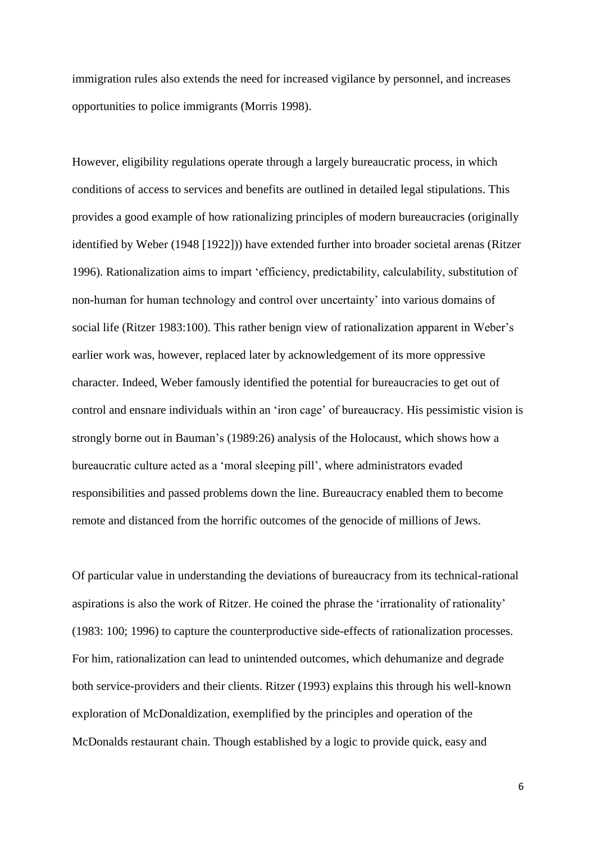immigration rules also extends the need for increased vigilance by personnel, and increases opportunities to police immigrants (Morris 1998).

However, eligibility regulations operate through a largely bureaucratic process, in which conditions of access to services and benefits are outlined in detailed legal stipulations. This provides a good example of how rationalizing principles of modern bureaucracies (originally identified by Weber (1948 [1922])) have extended further into broader societal arenas (Ritzer 1996). Rationalization aims to impart 'efficiency, predictability, calculability, substitution of non-human for human technology and control over uncertainty' into various domains of social life (Ritzer 1983:100). This rather benign view of rationalization apparent in Weber's earlier work was, however, replaced later by acknowledgement of its more oppressive character. Indeed, Weber famously identified the potential for bureaucracies to get out of control and ensnare individuals within an 'iron cage' of bureaucracy. His pessimistic vision is strongly borne out in Bauman's (1989:26) analysis of the Holocaust, which shows how a bureaucratic culture acted as a 'moral sleeping pill', where administrators evaded responsibilities and passed problems down the line. Bureaucracy enabled them to become remote and distanced from the horrific outcomes of the genocide of millions of Jews.

Of particular value in understanding the deviations of bureaucracy from its technical-rational aspirations is also the work of Ritzer. He coined the phrase the 'irrationality of rationality' (1983: 100; 1996) to capture the counterproductive side-effects of rationalization processes*.*  For him, rationalization can lead to unintended outcomes, which dehumanize and degrade both service-providers and their clients. Ritzer (1993) explains this through his well-known exploration of McDonaldization, exemplified by the principles and operation of the McDonalds restaurant chain. Though established by a logic to provide quick, easy and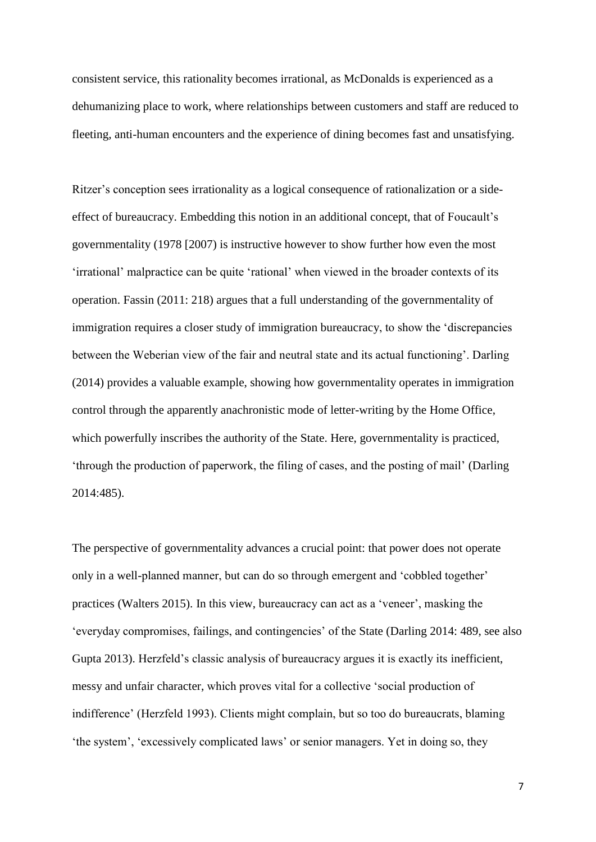consistent service, this rationality becomes irrational, as McDonalds is experienced as a dehumanizing place to work, where relationships between customers and staff are reduced to fleeting, anti-human encounters and the experience of dining becomes fast and unsatisfying.

Ritzer's conception sees irrationality as a logical consequence of rationalization or a sideeffect of bureaucracy. Embedding this notion in an additional concept, that of Foucault's governmentality (1978 [2007) is instructive however to show further how even the most 'irrational' malpractice can be quite 'rational' when viewed in the broader contexts of its operation. Fassin (2011: 218) argues that a full understanding of the governmentality of immigration requires a closer study of immigration bureaucracy, to show the 'discrepancies between the Weberian view of the fair and neutral state and its actual functioning'. Darling (2014) provides a valuable example, showing how governmentality operates in immigration control through the apparently anachronistic mode of letter-writing by the Home Office, which powerfully inscribes the authority of the State. Here, governmentality is practiced, 'through the production of paperwork, the filing of cases, and the posting of mail' (Darling 2014:485).

The perspective of governmentality advances a crucial point: that power does not operate only in a well-planned manner, but can do so through emergent and 'cobbled together' practices (Walters 2015). In this view, bureaucracy can act as a 'veneer', masking the 'everyday compromises, failings, and contingencies' of the State (Darling 2014: 489, see also Gupta 2013). Herzfeld's classic analysis of bureaucracy argues it is exactly its inefficient, messy and unfair character, which proves vital for a collective 'social production of indifference' (Herzfeld 1993). Clients might complain, but so too do bureaucrats, blaming 'the system', 'excessively complicated laws' or senior managers. Yet in doing so, they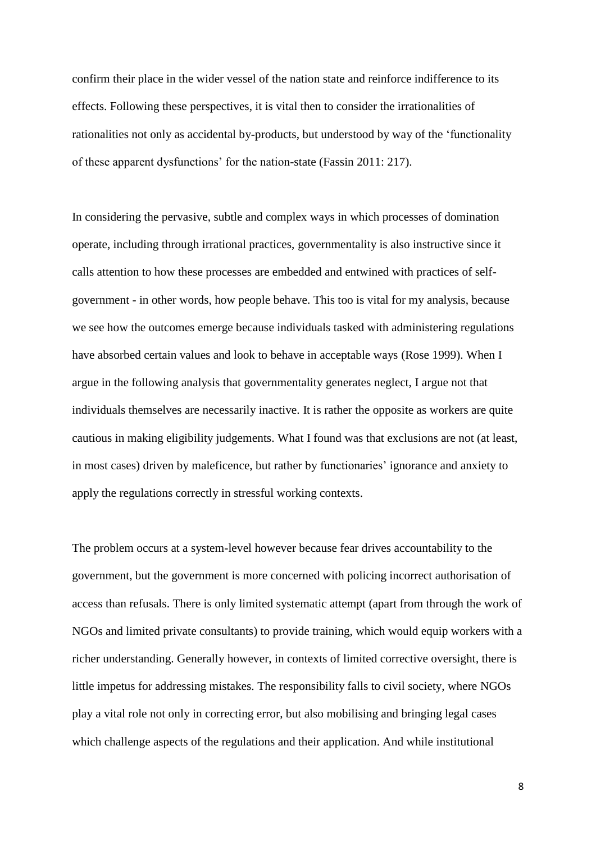confirm their place in the wider vessel of the nation state and reinforce indifference to its effects. Following these perspectives, it is vital then to consider the irrationalities of rationalities not only as accidental by-products, but understood by way of the 'functionality of these apparent dysfunctions' for the nation-state (Fassin 2011: 217).

In considering the pervasive, subtle and complex ways in which processes of domination operate, including through irrational practices, governmentality is also instructive since it calls attention to how these processes are embedded and entwined with practices of selfgovernment - in other words, how people behave. This too is vital for my analysis, because we see how the outcomes emerge because individuals tasked with administering regulations have absorbed certain values and look to behave in acceptable ways (Rose 1999). When I argue in the following analysis that governmentality generates neglect, I argue not that individuals themselves are necessarily inactive. It is rather the opposite as workers are quite cautious in making eligibility judgements. What I found was that exclusions are not (at least, in most cases) driven by maleficence, but rather by functionaries' ignorance and anxiety to apply the regulations correctly in stressful working contexts.

The problem occurs at a system-level however because fear drives accountability to the government, but the government is more concerned with policing incorrect authorisation of access than refusals. There is only limited systematic attempt (apart from through the work of NGOs and limited private consultants) to provide training, which would equip workers with a richer understanding. Generally however, in contexts of limited corrective oversight, there is little impetus for addressing mistakes. The responsibility falls to civil society, where NGOs play a vital role not only in correcting error, but also mobilising and bringing legal cases which challenge aspects of the regulations and their application. And while institutional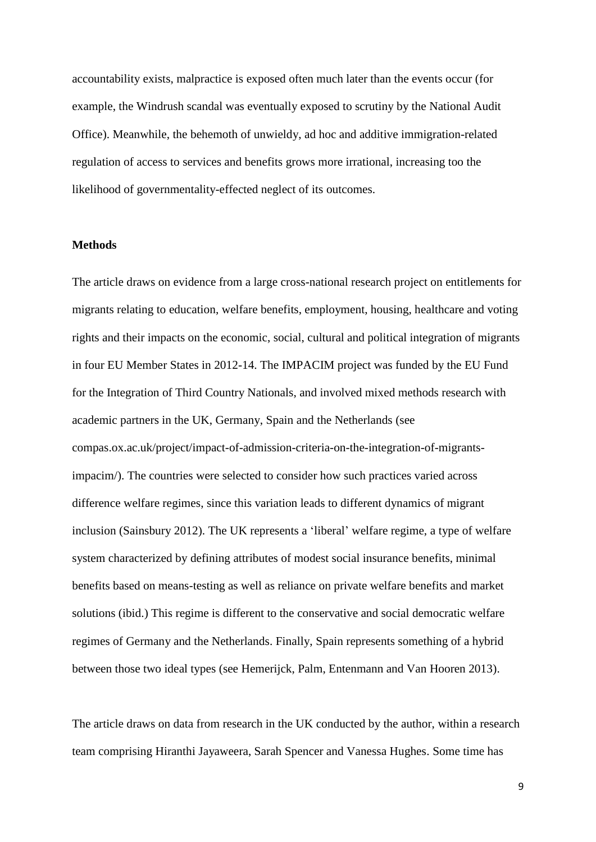accountability exists, malpractice is exposed often much later than the events occur (for example, the Windrush scandal was eventually exposed to scrutiny by the National Audit Office). Meanwhile, the behemoth of unwieldy, ad hoc and additive immigration-related regulation of access to services and benefits grows more irrational, increasing too the likelihood of governmentality-effected neglect of its outcomes.

### **Methods**

The article draws on evidence from a large cross-national research project on entitlements for migrants relating to education, welfare benefits, employment, housing, healthcare and voting rights and their impacts on the economic, social, cultural and political integration of migrants in four EU Member States in 2012-14. The IMPACIM project was funded by the EU Fund for the Integration of Third Country Nationals, and involved mixed methods research with academic partners in the UK, Germany, Spain and the Netherlands (see compas.ox.ac.uk/project/impact-of-admission-criteria-on-the-integration-of-migrantsimpacim/). The countries were selected to consider how such practices varied across difference welfare regimes, since this variation leads to different dynamics of migrant inclusion (Sainsbury 2012). The UK represents a 'liberal' welfare regime, a type of welfare system characterized by defining attributes of modest social insurance benefits, minimal benefits based on means-testing as well as reliance on private welfare benefits and market solutions (ibid.) This regime is different to the conservative and social democratic welfare regimes of Germany and the Netherlands. Finally, Spain represents something of a hybrid between those two ideal types (see Hemerijck, Palm, Entenmann and Van Hooren 2013).

The article draws on data from research in the UK conducted by the author, within a research team comprising Hiranthi Jayaweera, Sarah Spencer and Vanessa Hughes. Some time has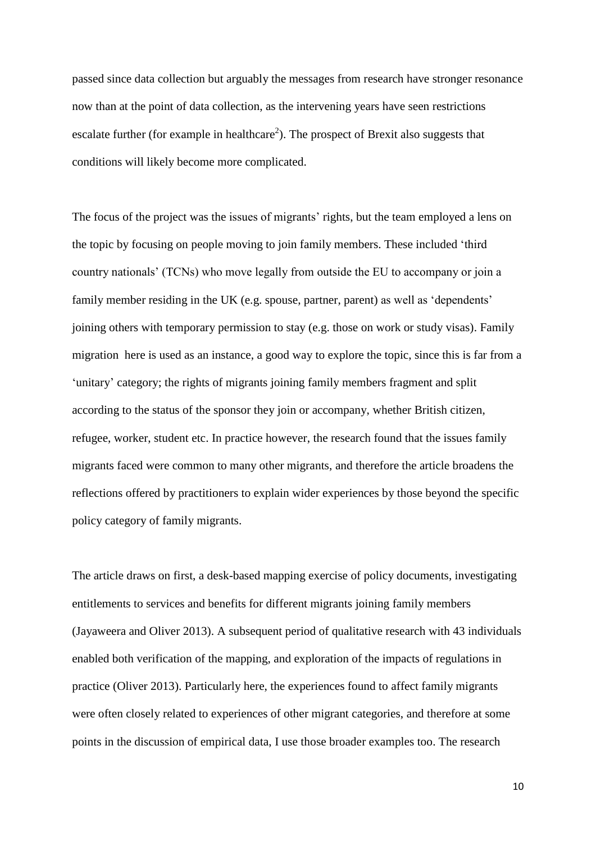passed since data collection but arguably the messages from research have stronger resonance now than at the point of data collection, as the intervening years have seen restrictions escalate further (for example in healthcare<sup>2</sup>). The prospect of Brexit also suggests that conditions will likely become more complicated.

The focus of the project was the issues of migrants' rights, but the team employed a lens on the topic by focusing on people moving to join family members. These included 'third country nationals' (TCNs) who move legally from outside the EU to accompany or join a family member residing in the UK (e.g. spouse, partner, parent) as well as 'dependents' joining others with temporary permission to stay (e.g. those on work or study visas). Family migration here is used as an instance, a good way to explore the topic, since this is far from a 'unitary' category; the rights of migrants joining family members fragment and split according to the status of the sponsor they join or accompany, whether British citizen, refugee, worker, student etc. In practice however, the research found that the issues family migrants faced were common to many other migrants, and therefore the article broadens the reflections offered by practitioners to explain wider experiences by those beyond the specific policy category of family migrants.

The article draws on first, a desk-based mapping exercise of policy documents, investigating entitlements to services and benefits for different migrants joining family members (Jayaweera and Oliver 2013). A subsequent period of qualitative research with 43 individuals enabled both verification of the mapping, and exploration of the impacts of regulations in practice (Oliver 2013). Particularly here, the experiences found to affect family migrants were often closely related to experiences of other migrant categories, and therefore at some points in the discussion of empirical data, I use those broader examples too. The research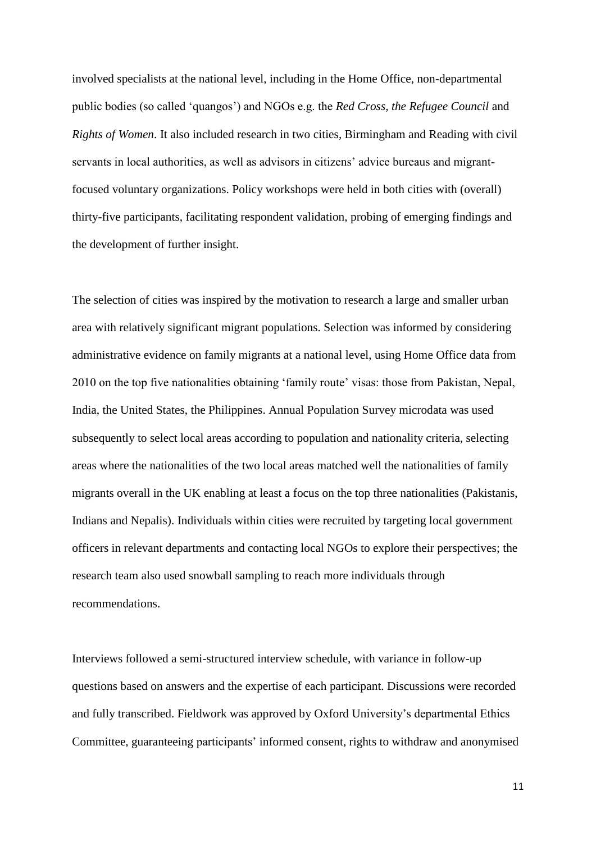involved specialists at the national level, including in the Home Office, non-departmental public bodies (so called 'quangos') and NGOs e.g. the *Red Cross, the Refugee Council* and *Rights of Women*. It also included research in two cities, Birmingham and Reading with civil servants in local authorities, as well as advisors in citizens' advice bureaus and migrantfocused voluntary organizations. Policy workshops were held in both cities with (overall) thirty-five participants, facilitating respondent validation, probing of emerging findings and the development of further insight.

The selection of cities was inspired by the motivation to research a large and smaller urban area with relatively significant migrant populations. Selection was informed by considering administrative evidence on family migrants at a national level, using Home Office data from 2010 on the top five nationalities obtaining 'family route' visas: those from Pakistan, Nepal, India, the United States, the Philippines. Annual Population Survey microdata was used subsequently to select local areas according to population and nationality criteria, selecting areas where the nationalities of the two local areas matched well the nationalities of family migrants overall in the UK enabling at least a focus on the top three nationalities (Pakistanis, Indians and Nepalis). Individuals within cities were recruited by targeting local government officers in relevant departments and contacting local NGOs to explore their perspectives; the research team also used snowball sampling to reach more individuals through recommendations.

Interviews followed a semi-structured interview schedule, with variance in follow-up questions based on answers and the expertise of each participant. Discussions were recorded and fully transcribed. Fieldwork was approved by Oxford University's departmental Ethics Committee, guaranteeing participants' informed consent, rights to withdraw and anonymised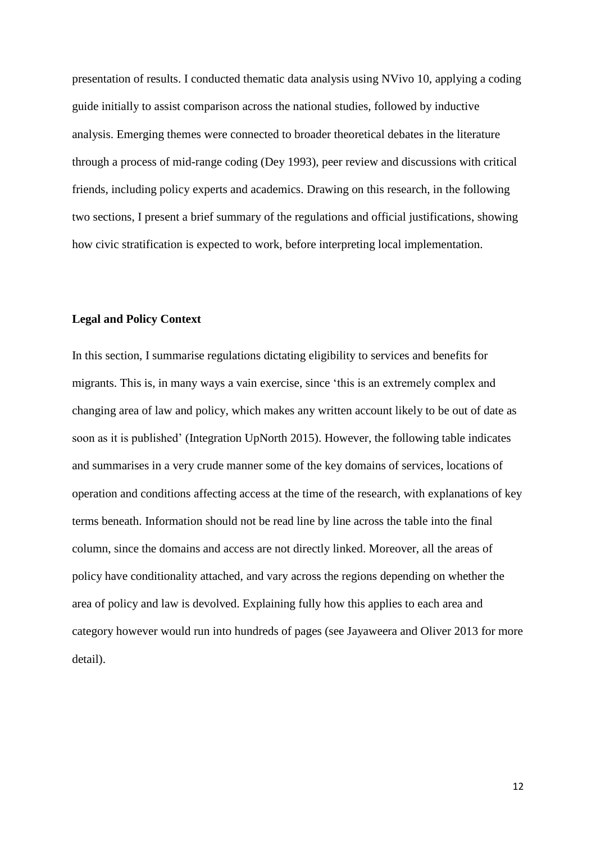presentation of results. I conducted thematic data analysis using NVivo 10, applying a coding guide initially to assist comparison across the national studies, followed by inductive analysis. Emerging themes were connected to broader theoretical debates in the literature through a process of mid-range coding (Dey 1993), peer review and discussions with critical friends, including policy experts and academics. Drawing on this research, in the following two sections, I present a brief summary of the regulations and official justifications, showing how civic stratification is expected to work, before interpreting local implementation.

# **Legal and Policy Context**

In this section, I summarise regulations dictating eligibility to services and benefits for migrants. This is, in many ways a vain exercise, since 'this is an extremely complex and changing area of law and policy, which makes any written account likely to be out of date as soon as it is published' (Integration UpNorth 2015). However, the following table indicates and summarises in a very crude manner some of the key domains of services, locations of operation and conditions affecting access at the time of the research, with explanations of key terms beneath. Information should not be read line by line across the table into the final column, since the domains and access are not directly linked. Moreover, all the areas of policy have conditionality attached, and vary across the regions depending on whether the area of policy and law is devolved. Explaining fully how this applies to each area and category however would run into hundreds of pages (see Jayaweera and Oliver 2013 for more detail).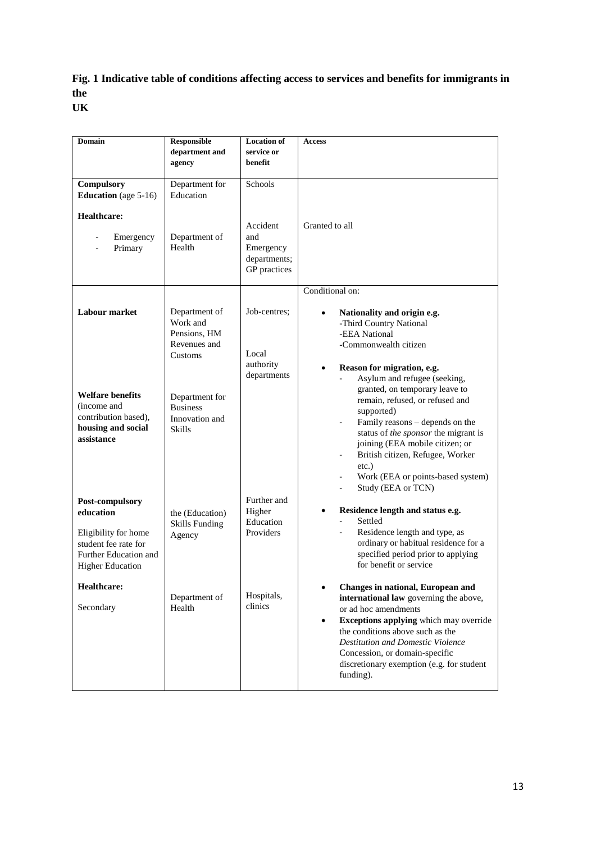# **Fig. 1 Indicative table of conditions affecting access to services and benefits for immigrants in the UK**

| <b>Domain</b>                                                                                                                    | <b>Responsible</b><br>department and                                 | <b>Location of</b><br>service or                                        | <b>Access</b>                                                                                                                                                                                                                                                                                                                                       |
|----------------------------------------------------------------------------------------------------------------------------------|----------------------------------------------------------------------|-------------------------------------------------------------------------|-----------------------------------------------------------------------------------------------------------------------------------------------------------------------------------------------------------------------------------------------------------------------------------------------------------------------------------------------------|
|                                                                                                                                  | agency                                                               | benefit                                                                 |                                                                                                                                                                                                                                                                                                                                                     |
| <b>Compulsory</b><br><b>Education</b> (age 5-16)<br>Healthcare:<br>Emergency<br>$\overline{\phantom{a}}$<br>Primary              | Department for<br>Education<br>Department of<br>Health               | Schools<br>Accident<br>and<br>Emergency<br>departments;<br>GP practices | Granted to all                                                                                                                                                                                                                                                                                                                                      |
| Labour market                                                                                                                    | Department of<br>Work and<br>Pensions. HM<br>Revenues and<br>Customs | Job-centres;<br>Local<br>authority<br>departments                       | Conditional on:<br>Nationality and origin e.g.<br>-Third Country National<br>-EEA National<br>-Commonwealth citizen<br>Reason for migration, e.g.<br>$\bullet$<br>Asylum and refugee (seeking,<br>÷.                                                                                                                                                |
| <b>Welfare benefits</b><br>(income and<br>contribution based),<br>housing and social<br>assistance                               | Department for<br><b>Business</b><br>Innovation and<br>Skills        |                                                                         | granted, on temporary leave to<br>remain, refused, or refused and<br>supported)<br>Family reasons – depends on the<br>status of the sponsor the migrant is<br>joining (EEA mobile citizen; or<br>British citizen, Refugee, Worker<br>$\blacksquare$<br>etc.)<br>Work (EEA or points-based system)<br>$\overline{\phantom{a}}$<br>Study (EEA or TCN) |
| Post-compulsory<br>education<br>Eligibility for home<br>student fee rate for<br>Further Education and<br><b>Higher Education</b> | the (Education)<br><b>Skills Funding</b><br>Agency                   | Further and<br>Higher<br>Education<br>Providers                         | Residence length and status e.g.<br>$\bullet$<br>Settled<br>$\blacksquare$<br>Residence length and type, as<br>$\blacksquare$<br>ordinary or habitual residence for a<br>specified period prior to applying<br>for benefit or service                                                                                                               |
| <b>Healthcare:</b><br>Secondary                                                                                                  | Department of<br>Health                                              | Hospitals,<br>clinics                                                   | Changes in national, European and<br>international law governing the above,<br>or ad hoc amendments<br><b>Exceptions applying</b> which may override<br>the conditions above such as the<br><b>Destitution and Domestic Violence</b><br>Concession, or domain-specific<br>discretionary exemption (e.g. for student<br>funding).                    |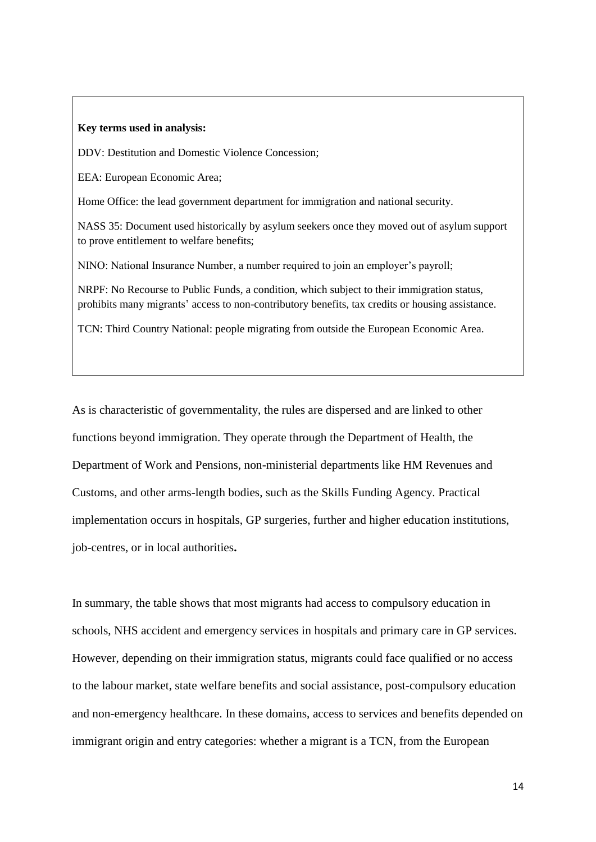#### **Key terms used in analysis:**

DDV: Destitution and Domestic Violence Concession;

EEA: European Economic Area;

Home Office: the lead government department for immigration and national security.

NASS 35: Document used historically by asylum seekers once they moved out of asylum support to prove entitlement to welfare benefits;

NINO: National Insurance Number, a number required to join an employer's payroll;

NRPF: No Recourse to Public Funds, a condition, which subject to their immigration status, prohibits many migrants' access to non-contributory benefits, tax credits or housing assistance.

TCN: Third Country National: people migrating from outside the European Economic Area.

As is characteristic of governmentality, the rules are dispersed and are linked to other functions beyond immigration. They operate through the Department of Health, the Department of Work and Pensions, non-ministerial departments like HM Revenues and Customs, and other arms-length bodies, such as the Skills Funding Agency. Practical implementation occurs in hospitals, GP surgeries, further and higher education institutions, job-centres, or in local authorities**.**

In summary, the table shows that most migrants had access to compulsory education in schools, NHS accident and emergency services in hospitals and primary care in GP services. However, depending on their immigration status, migrants could face qualified or no access to the labour market, state welfare benefits and social assistance, post-compulsory education and non-emergency healthcare. In these domains, access to services and benefits depended on immigrant origin and entry categories: whether a migrant is a TCN, from the European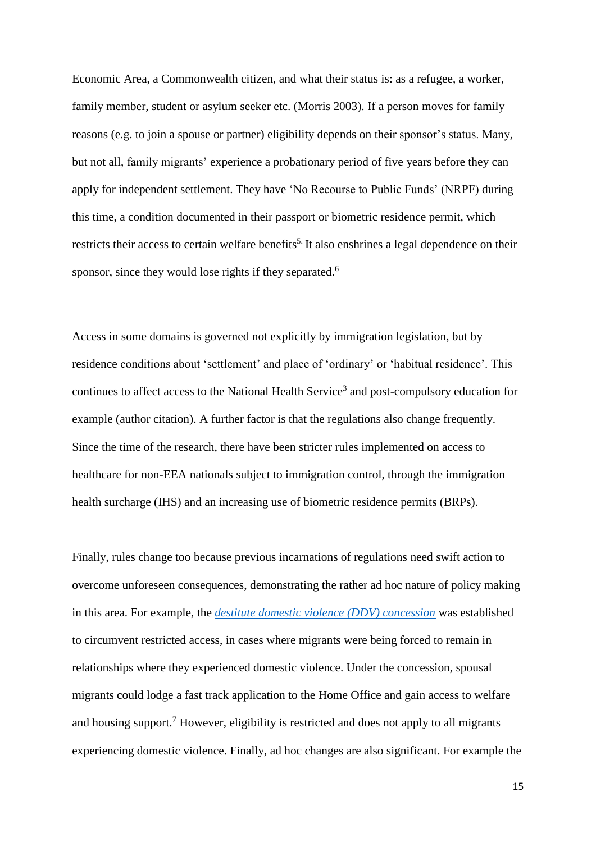Economic Area, a Commonwealth citizen, and what their status is: as a refugee, a worker, family member, student or asylum seeker etc. (Morris 2003). If a person moves for family reasons (e.g. to join a spouse or partner) eligibility depends on their sponsor's status. Many, but not all, family migrants' experience a probationary period of five years before they can apply for independent settlement. They have 'No Recourse to Public Funds' (NRPF) during this time, a condition documented in their passport or biometric residence permit, which restricts their access to certain welfare benefits<sup>5.</sup> It also enshrines a legal dependence on their sponsor, since they would lose rights if they separated.<sup>6</sup>

Access in some domains is governed not explicitly by immigration legislation, but by residence conditions about 'settlement' and place of 'ordinary' or 'habitual residence'. This continues to affect access to the National Health Service<sup>3</sup> and post-compulsory education for example (author citation). A further factor is that the regulations also change frequently. Since the time of the research, there have been stricter rules implemented on access to healthcare for non-EEA nationals subject to immigration control, through the immigration health surcharge (IHS) and an increasing use of biometric residence permits (BRPs).

Finally, rules change too because previous incarnations of regulations need swift action to overcome unforeseen consequences, demonstrating the rather ad hoc nature of policy making in this area. For example, the *[destitute domestic violence \(DDV\) concession](http://www.ukba.homeoffice.gov.uk/visas-immigration/while-in-uk/domesticviolence/#header2)* was established to circumvent restricted access, in cases where migrants were being forced to remain in relationships where they experienced domestic violence. Under the concession, spousal migrants could lodge a fast track application to the Home Office and gain access to welfare and housing support.<sup>7</sup> However, eligibility is restricted and does not apply to all migrants experiencing domestic violence. Finally, ad hoc changes are also significant. For example the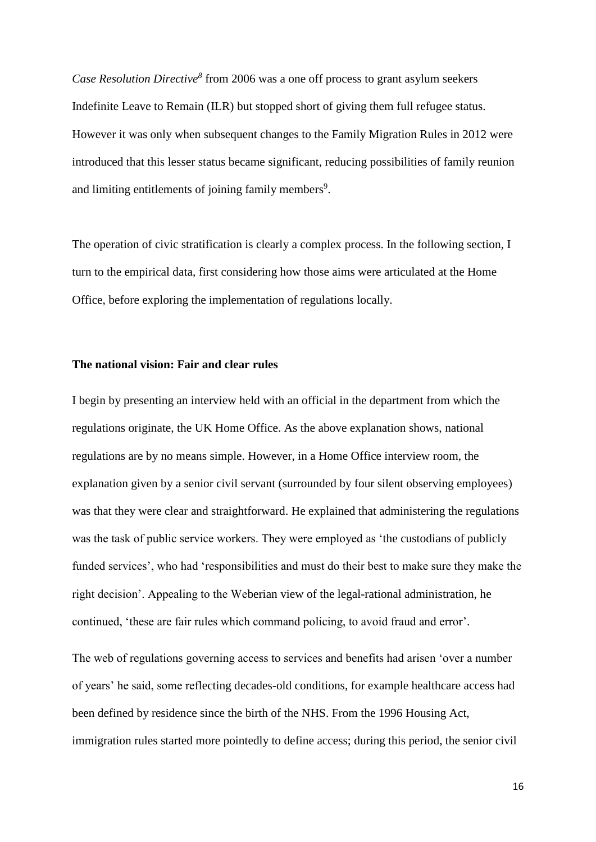*Case Resolution Directive<sup>8</sup>* from 2006 was a one off process to grant asylum seekers Indefinite Leave to Remain (ILR) but stopped short of giving them full refugee status. However it was only when subsequent changes to the Family Migration Rules in 2012 were introduced that this lesser status became significant, reducing possibilities of family reunion and limiting entitlements of joining family members<sup>9</sup>.

The operation of civic stratification is clearly a complex process. In the following section, I turn to the empirical data, first considering how those aims were articulated at the Home Office, before exploring the implementation of regulations locally.

#### **The national vision: Fair and clear rules**

I begin by presenting an interview held with an official in the department from which the regulations originate, the UK Home Office. As the above explanation shows, national regulations are by no means simple. However, in a Home Office interview room, the explanation given by a senior civil servant (surrounded by four silent observing employees) was that they were clear and straightforward. He explained that administering the regulations was the task of public service workers. They were employed as 'the custodians of publicly funded services', who had 'responsibilities and must do their best to make sure they make the right decision'. Appealing to the Weberian view of the legal-rational administration, he continued, 'these are fair rules which command policing, to avoid fraud and error'.

The web of regulations governing access to services and benefits had arisen 'over a number of years' he said, some reflecting decades-old conditions, for example healthcare access had been defined by residence since the birth of the NHS. From the 1996 Housing Act, immigration rules started more pointedly to define access; during this period, the senior civil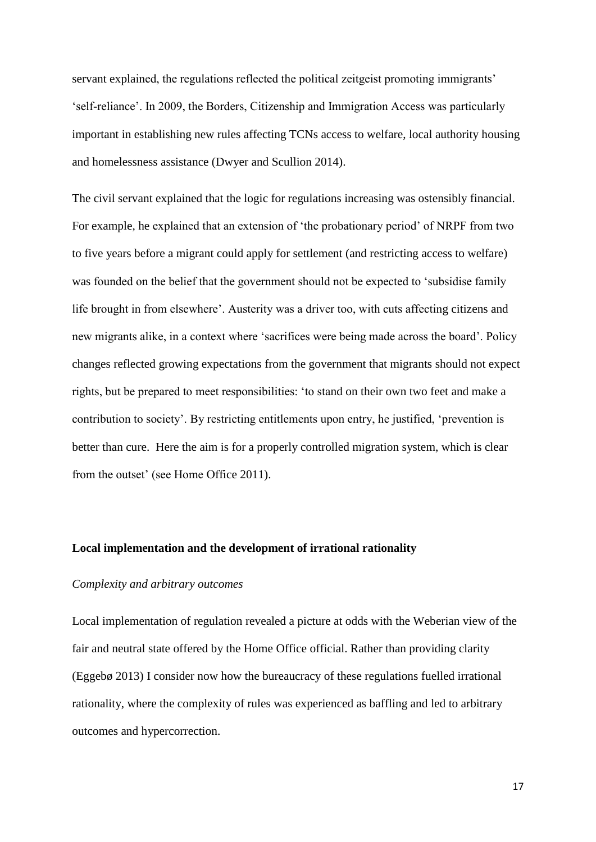servant explained, the regulations reflected the political zeitgeist promoting immigrants' 'self-reliance'. In 2009, the Borders, Citizenship and Immigration Access was particularly important in establishing new rules affecting TCNs access to welfare, local authority housing and homelessness assistance (Dwyer and Scullion 2014).

The civil servant explained that the logic for regulations increasing was ostensibly financial. For example, he explained that an extension of 'the probationary period' of NRPF from two to five years before a migrant could apply for settlement (and restricting access to welfare) was founded on the belief that the government should not be expected to 'subsidise family life brought in from elsewhere'. Austerity was a driver too, with cuts affecting citizens and new migrants alike, in a context where 'sacrifices were being made across the board'. Policy changes reflected growing expectations from the government that migrants should not expect rights, but be prepared to meet responsibilities: 'to stand on their own two feet and make a contribution to society'. By restricting entitlements upon entry, he justified, 'prevention is better than cure. Here the aim is for a properly controlled migration system, which is clear from the outset' (see Home Office 2011).

### **Local implementation and the development of irrational rationality**

# *Complexity and arbitrary outcomes*

Local implementation of regulation revealed a picture at odds with the Weberian view of the fair and neutral state offered by the Home Office official. Rather than providing clarity (Eggebø 2013) I consider now how the bureaucracy of these regulations fuelled irrational rationality, where the complexity of rules was experienced as baffling and led to arbitrary outcomes and hypercorrection.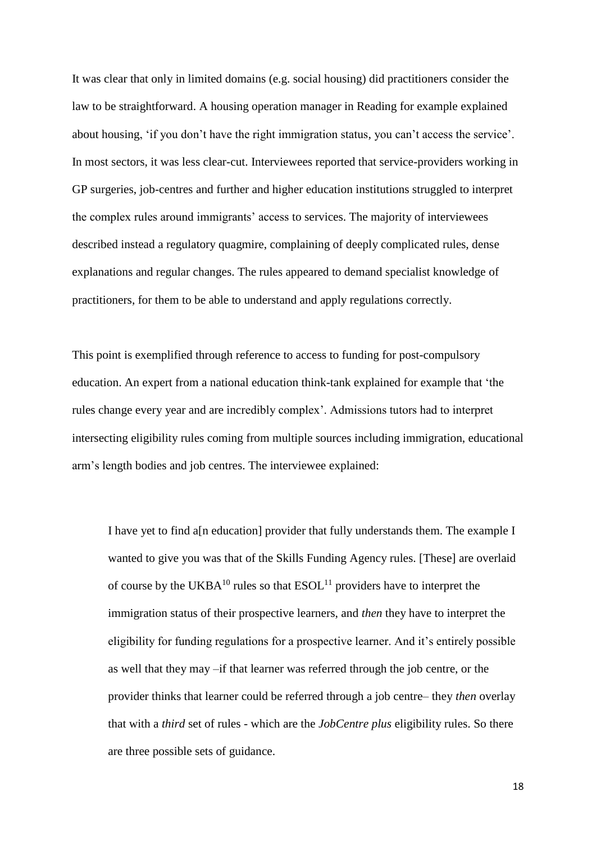It was clear that only in limited domains (e.g. social housing) did practitioners consider the law to be straightforward. A housing operation manager in Reading for example explained about housing, 'if you don't have the right immigration status, you can't access the service'. In most sectors, it was less clear-cut. Interviewees reported that service-providers working in GP surgeries, job-centres and further and higher education institutions struggled to interpret the complex rules around immigrants' access to services. The majority of interviewees described instead a regulatory quagmire, complaining of deeply complicated rules, dense explanations and regular changes. The rules appeared to demand specialist knowledge of practitioners, for them to be able to understand and apply regulations correctly.

This point is exemplified through reference to access to funding for post-compulsory education. An expert from a national education think-tank explained for example that 'the rules change every year and are incredibly complex'. Admissions tutors had to interpret intersecting eligibility rules coming from multiple sources including immigration, educational arm's length bodies and job centres. The interviewee explained:

I have yet to find a[n education] provider that fully understands them. The example I wanted to give you was that of the Skills Funding Agency rules. [These] are overlaid of course by the UKBA<sup>10</sup> rules so that  $ESOL<sup>11</sup>$  providers have to interpret the immigration status of their prospective learners, and *then* they have to interpret the eligibility for funding regulations for a prospective learner. And it's entirely possible as well that they may –if that learner was referred through the job centre, or the provider thinks that learner could be referred through a job centre– they *then* overlay that with a *third* set of rules - which are the *JobCentre plus* eligibility rules. So there are three possible sets of guidance.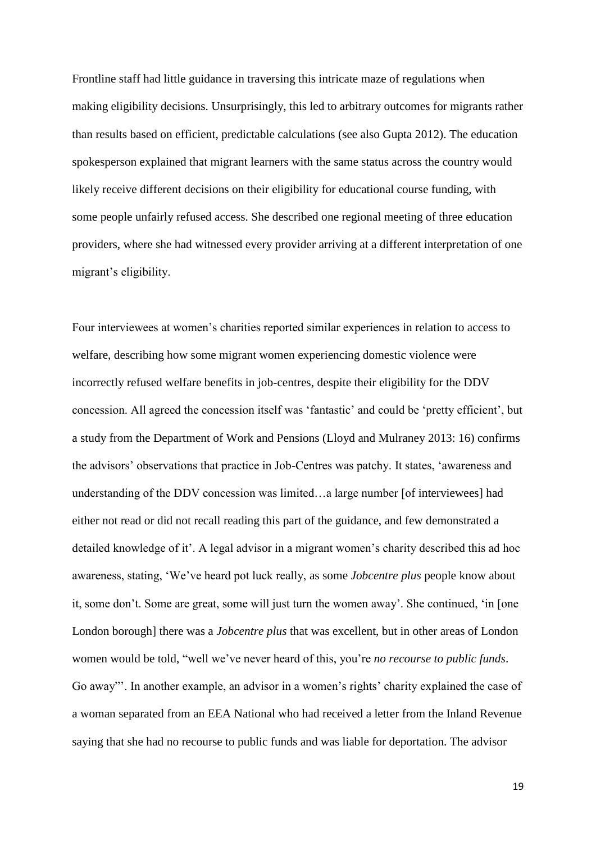Frontline staff had little guidance in traversing this intricate maze of regulations when making eligibility decisions. Unsurprisingly, this led to arbitrary outcomes for migrants rather than results based on efficient, predictable calculations (see also Gupta 2012). The education spokesperson explained that migrant learners with the same status across the country would likely receive different decisions on their eligibility for educational course funding, with some people unfairly refused access. She described one regional meeting of three education providers, where she had witnessed every provider arriving at a different interpretation of one migrant's eligibility.

Four interviewees at women's charities reported similar experiences in relation to access to welfare, describing how some migrant women experiencing domestic violence were incorrectly refused welfare benefits in job-centres, despite their eligibility for the DDV concession. All agreed the concession itself was 'fantastic' and could be 'pretty efficient', but a study from the Department of Work and Pensions (Lloyd and Mulraney 2013: 16) confirms the advisors' observations that practice in Job-Centres was patchy. It states, 'awareness and understanding of the DDV concession was limited…a large number [of interviewees] had either not read or did not recall reading this part of the guidance, and few demonstrated a detailed knowledge of it'. A legal advisor in a migrant women's charity described this ad hoc awareness, stating, 'We've heard pot luck really, as some *Jobcentre plus* people know about it, some don't. Some are great, some will just turn the women away'. She continued, 'in [one London borough] there was a *Jobcentre plus* that was excellent, but in other areas of London women would be told, "well we've never heard of this, you're *no recourse to public funds*. Go away"'. In another example, an advisor in a women's rights' charity explained the case of a woman separated from an EEA National who had received a letter from the Inland Revenue saying that she had no recourse to public funds and was liable for deportation. The advisor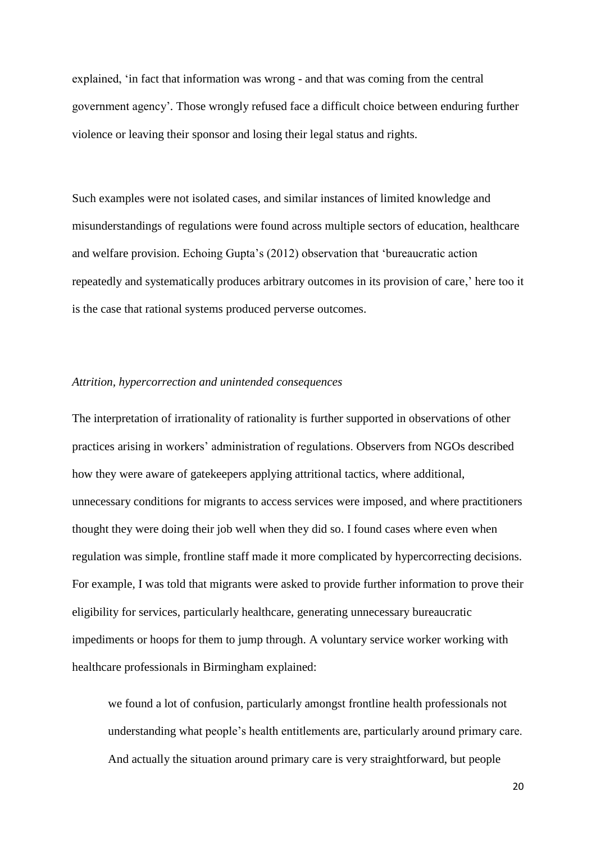explained, 'in fact that information was wrong - and that was coming from the central government agency'*.* Those wrongly refused face a difficult choice between enduring further violence or leaving their sponsor and losing their legal status and rights.

Such examples were not isolated cases, and similar instances of limited knowledge and misunderstandings of regulations were found across multiple sectors of education, healthcare and welfare provision. Echoing Gupta's (2012) observation that 'bureaucratic action repeatedly and systematically produces arbitrary outcomes in its provision of care,' here too it is the case that rational systems produced perverse outcomes.

#### *Attrition, hypercorrection and unintended consequences*

The interpretation of irrationality of rationality is further supported in observations of other practices arising in workers' administration of regulations. Observers from NGOs described how they were aware of gatekeepers applying attritional tactics, where additional, unnecessary conditions for migrants to access services were imposed, and where practitioners thought they were doing their job well when they did so. I found cases where even when regulation was simple, frontline staff made it more complicated by hypercorrecting decisions. For example, I was told that migrants were asked to provide further information to prove their eligibility for services, particularly healthcare, generating unnecessary bureaucratic impediments or hoops for them to jump through. A voluntary service worker working with healthcare professionals in Birmingham explained:

we found a lot of confusion, particularly amongst frontline health professionals not understanding what people's health entitlements are, particularly around primary care. And actually the situation around primary care is very straightforward, but people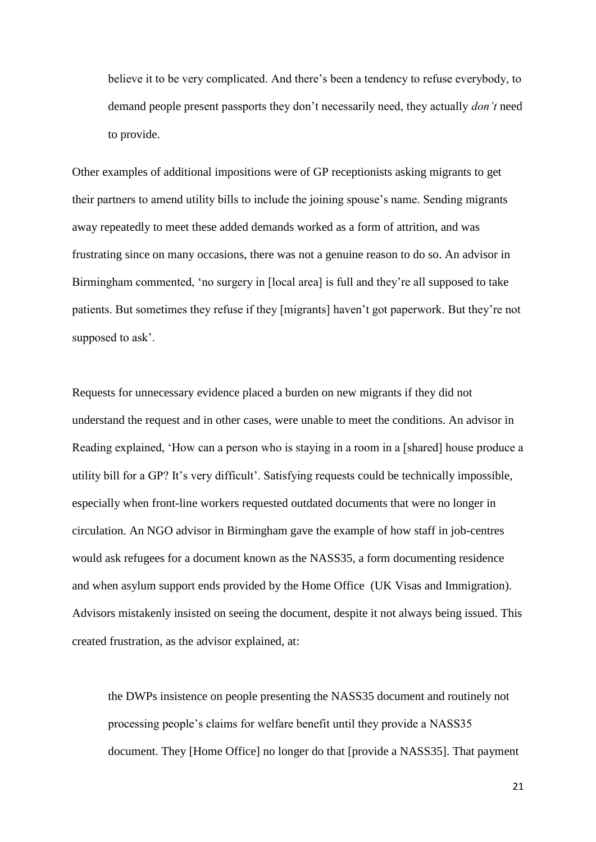believe it to be very complicated. And there's been a tendency to refuse everybody, to demand people present passports they don't necessarily need, they actually *don't* need to provide.

Other examples of additional impositions were of GP receptionists asking migrants to get their partners to amend utility bills to include the joining spouse's name. Sending migrants away repeatedly to meet these added demands worked as a form of attrition, and was frustrating since on many occasions, there was not a genuine reason to do so. An advisor in Birmingham commented, 'no surgery in [local area] is full and they're all supposed to take patients. But sometimes they refuse if they [migrants] haven't got paperwork. But they're not supposed to ask'.

Requests for unnecessary evidence placed a burden on new migrants if they did not understand the request and in other cases, were unable to meet the conditions. An advisor in Reading explained, 'How can a person who is staying in a room in a [shared] house produce a utility bill for a GP? It's very difficult'. Satisfying requests could be technically impossible, especially when front-line workers requested outdated documents that were no longer in circulation. An NGO advisor in Birmingham gave the example of how staff in job-centres would ask refugees for a document known as the NASS35, a form documenting residence and when asylum support ends provided by the Home Office (UK Visas and Immigration). Advisors mistakenly insisted on seeing the document, despite it not always being issued. This created frustration, as the advisor explained, at:

the DWPs insistence on people presenting the NASS35 document and routinely not processing people's claims for welfare benefit until they provide a NASS35 document. They [Home Office] no longer do that [provide a NASS35]. That payment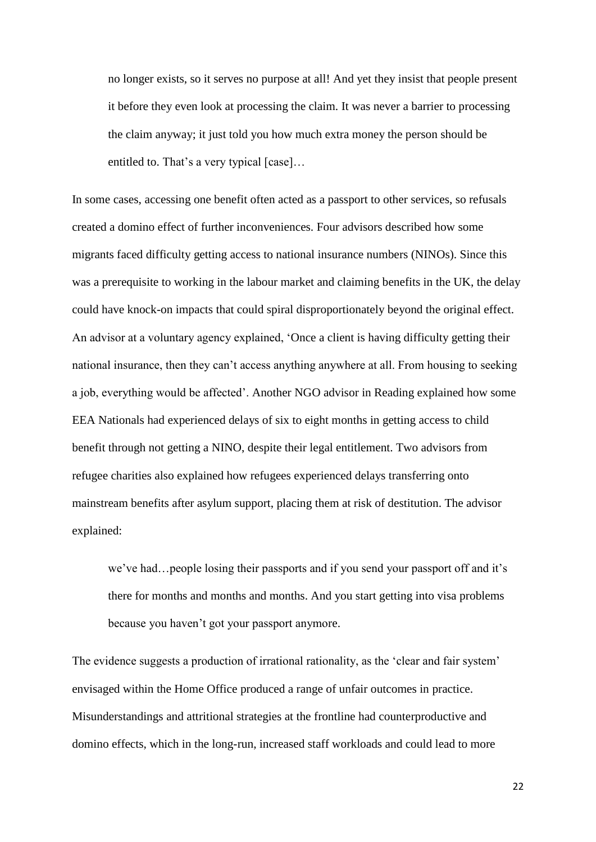no longer exists, so it serves no purpose at all! And yet they insist that people present it before they even look at processing the claim. It was never a barrier to processing the claim anyway; it just told you how much extra money the person should be entitled to. That's a very typical [case]…

In some cases, accessing one benefit often acted as a passport to other services, so refusals created a domino effect of further inconveniences. Four advisors described how some migrants faced difficulty getting access to national insurance numbers (NINOs). Since this was a prerequisite to working in the labour market and claiming benefits in the UK, the delay could have knock-on impacts that could spiral disproportionately beyond the original effect. An advisor at a voluntary agency explained, 'Once a client is having difficulty getting their national insurance, then they can't access anything anywhere at all. From housing to seeking a job, everything would be affected'. Another NGO advisor in Reading explained how some EEA Nationals had experienced delays of six to eight months in getting access to child benefit through not getting a NINO, despite their legal entitlement. Two advisors from refugee charities also explained how refugees experienced delays transferring onto mainstream benefits after asylum support, placing them at risk of destitution. The advisor explained:

we've had…people losing their passports and if you send your passport off and it's there for months and months and months. And you start getting into visa problems because you haven't got your passport anymore.

The evidence suggests a production of irrational rationality, as the 'clear and fair system' envisaged within the Home Office produced a range of unfair outcomes in practice. Misunderstandings and attritional strategies at the frontline had counterproductive and domino effects, which in the long-run, increased staff workloads and could lead to more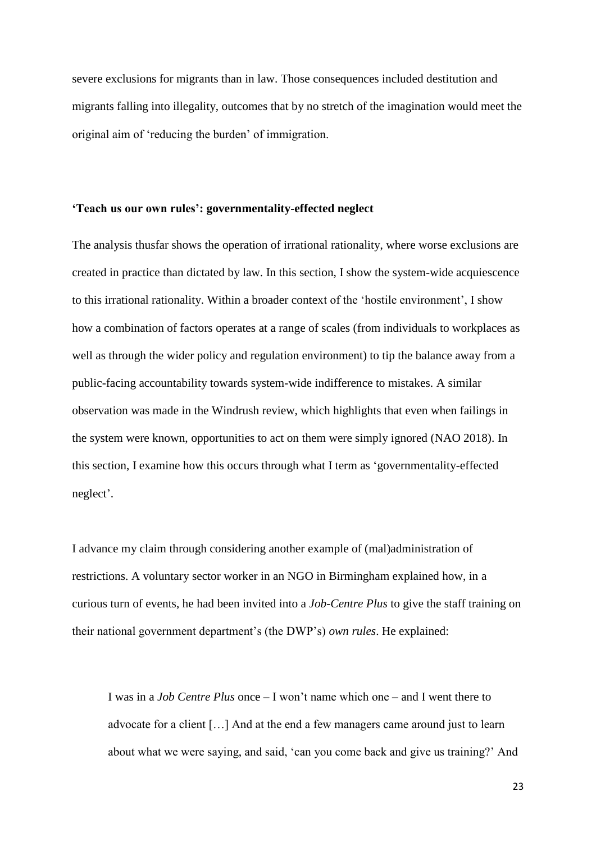severe exclusions for migrants than in law. Those consequences included destitution and migrants falling into illegality, outcomes that by no stretch of the imagination would meet the original aim of 'reducing the burden' of immigration.

#### **'Teach us our own rules': governmentality-effected neglect**

The analysis thusfar shows the operation of irrational rationality, where worse exclusions are created in practice than dictated by law. In this section, I show the system-wide acquiescence to this irrational rationality. Within a broader context of the 'hostile environment', I show how a combination of factors operates at a range of scales (from individuals to workplaces as well as through the wider policy and regulation environment) to tip the balance away from a public-facing accountability towards system-wide indifference to mistakes. A similar observation was made in the Windrush review, which highlights that even when failings in the system were known, opportunities to act on them were simply ignored (NAO 2018). In this section, I examine how this occurs through what I term as 'governmentality-effected neglect'.

I advance my claim through considering another example of (mal)administration of restrictions. A voluntary sector worker in an NGO in Birmingham explained how, in a curious turn of events, he had been invited into a *Job-Centre Plus* to give the staff training on their national government department's (the DWP's) *own rules*. He explained:

I was in a *Job Centre Plus* once – I won't name which one – and I went there to advocate for a client […] And at the end a few managers came around just to learn about what we were saying, and said, 'can you come back and give us training?' And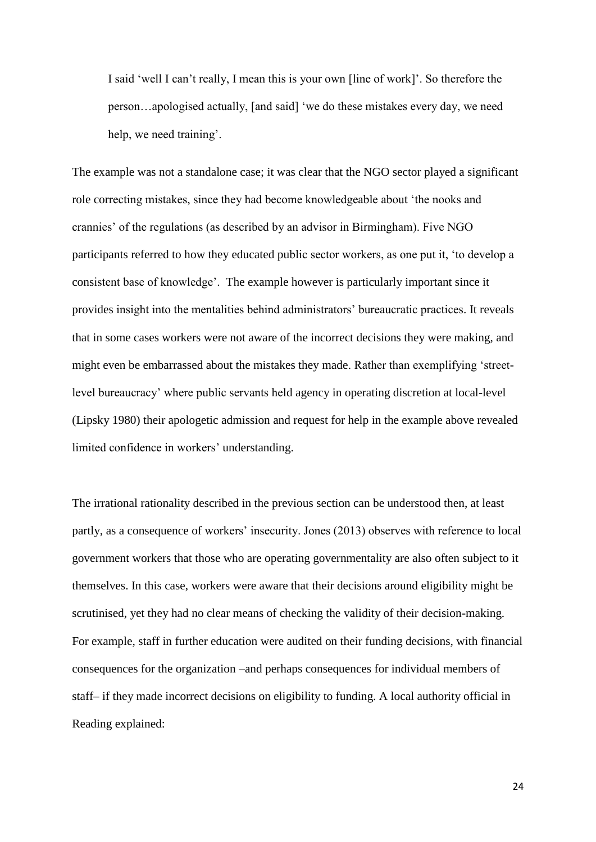I said 'well I can't really, I mean this is your own [line of work]'. So therefore the person…apologised actually, [and said] 'we do these mistakes every day, we need help, we need training'.

The example was not a standalone case; it was clear that the NGO sector played a significant role correcting mistakes, since they had become knowledgeable about 'the nooks and crannies' of the regulations (as described by an advisor in Birmingham). Five NGO participants referred to how they educated public sector workers, as one put it, 'to develop a consistent base of knowledge'. The example however is particularly important since it provides insight into the mentalities behind administrators' bureaucratic practices. It reveals that in some cases workers were not aware of the incorrect decisions they were making, and might even be embarrassed about the mistakes they made. Rather than exemplifying 'streetlevel bureaucracy' where public servants held agency in operating discretion at local-level (Lipsky 1980) their apologetic admission and request for help in the example above revealed limited confidence in workers' understanding.

The irrational rationality described in the previous section can be understood then, at least partly, as a consequence of workers' insecurity. Jones (2013) observes with reference to local government workers that those who are operating governmentality are also often subject to it themselves. In this case, workers were aware that their decisions around eligibility might be scrutinised, yet they had no clear means of checking the validity of their decision-making. For example, staff in further education were audited on their funding decisions, with financial consequences for the organization –and perhaps consequences for individual members of staff– if they made incorrect decisions on eligibility to funding. A local authority official in Reading explained: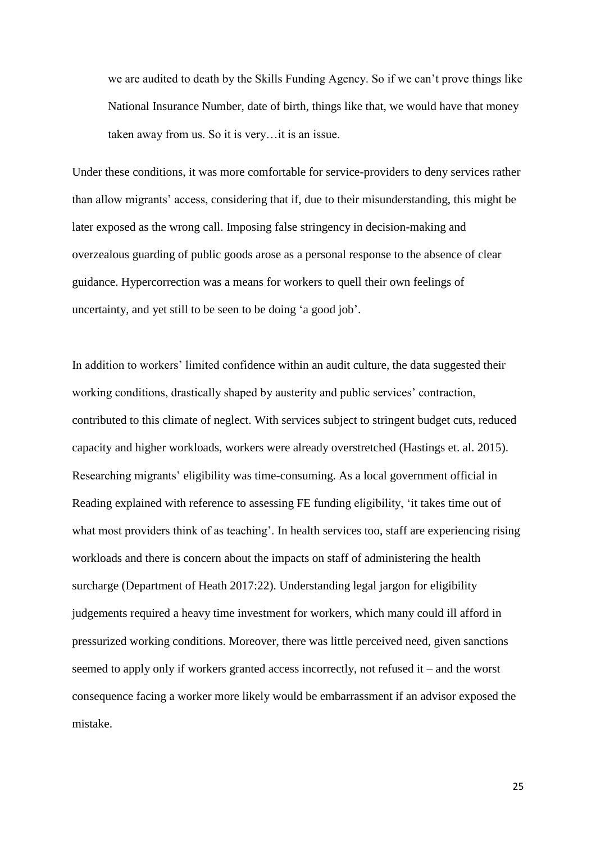we are audited to death by the Skills Funding Agency. So if we can't prove things like National Insurance Number, date of birth, things like that, we would have that money taken away from us. So it is very…it is an issue.

Under these conditions, it was more comfortable for service-providers to deny services rather than allow migrants' access, considering that if, due to their misunderstanding, this might be later exposed as the wrong call. Imposing false stringency in decision-making and overzealous guarding of public goods arose as a personal response to the absence of clear guidance. Hypercorrection was a means for workers to quell their own feelings of uncertainty, and yet still to be seen to be doing 'a good job'.

In addition to workers' limited confidence within an audit culture, the data suggested their working conditions, drastically shaped by austerity and public services' contraction, contributed to this climate of neglect. With services subject to stringent budget cuts, reduced capacity and higher workloads, workers were already overstretched (Hastings et. al. 2015). Researching migrants' eligibility was time-consuming. As a local government official in Reading explained with reference to assessing FE funding eligibility, 'it takes time out of what most providers think of as teaching'. In health services too, staff are experiencing rising workloads and there is concern about the impacts on staff of administering the health surcharge (Department of Heath 2017:22). Understanding legal jargon for eligibility judgements required a heavy time investment for workers, which many could ill afford in pressurized working conditions. Moreover, there was little perceived need, given sanctions seemed to apply only if workers granted access incorrectly, not refused it – and the worst consequence facing a worker more likely would be embarrassment if an advisor exposed the mistake.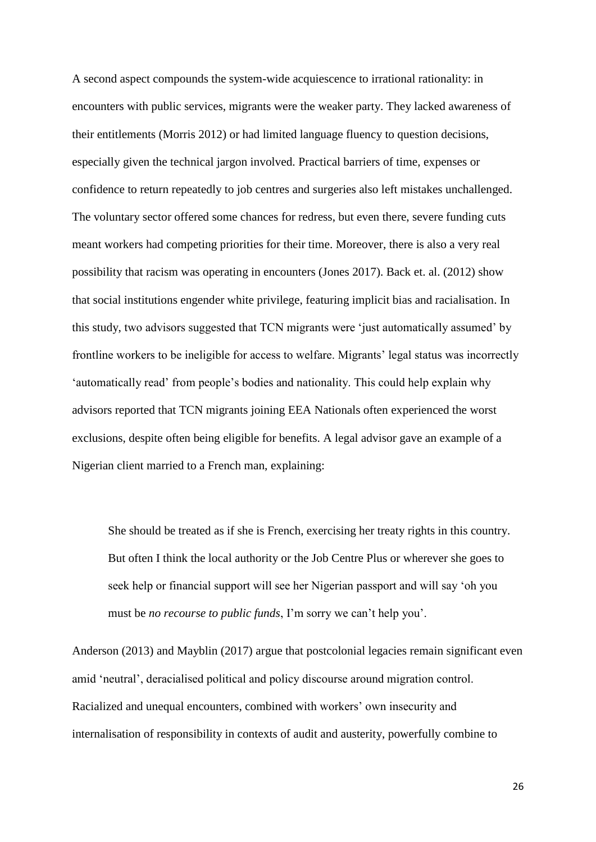A second aspect compounds the system-wide acquiescence to irrational rationality: in encounters with public services, migrants were the weaker party. They lacked awareness of their entitlements (Morris 2012) or had limited language fluency to question decisions, especially given the technical jargon involved. Practical barriers of time, expenses or confidence to return repeatedly to job centres and surgeries also left mistakes unchallenged. The voluntary sector offered some chances for redress, but even there, severe funding cuts meant workers had competing priorities for their time. Moreover, there is also a very real possibility that racism was operating in encounters (Jones 2017). Back et. al. (2012) show that social institutions engender white privilege, featuring implicit bias and racialisation. In this study, two advisors suggested that TCN migrants were 'just automatically assumed' by frontline workers to be ineligible for access to welfare. Migrants' legal status was incorrectly 'automatically read' from people's bodies and nationality. This could help explain why advisors reported that TCN migrants joining EEA Nationals often experienced the worst exclusions, despite often being eligible for benefits. A legal advisor gave an example of a Nigerian client married to a French man, explaining:

She should be treated as if she is French, exercising her treaty rights in this country. But often I think the local authority or the Job Centre Plus or wherever she goes to seek help or financial support will see her Nigerian passport and will say 'oh you must be *no recourse to public funds*, I'm sorry we can't help you'.

Anderson (2013) and Mayblin (2017) argue that postcolonial legacies remain significant even amid 'neutral', deracialised political and policy discourse around migration control. Racialized and unequal encounters, combined with workers' own insecurity and internalisation of responsibility in contexts of audit and austerity, powerfully combine to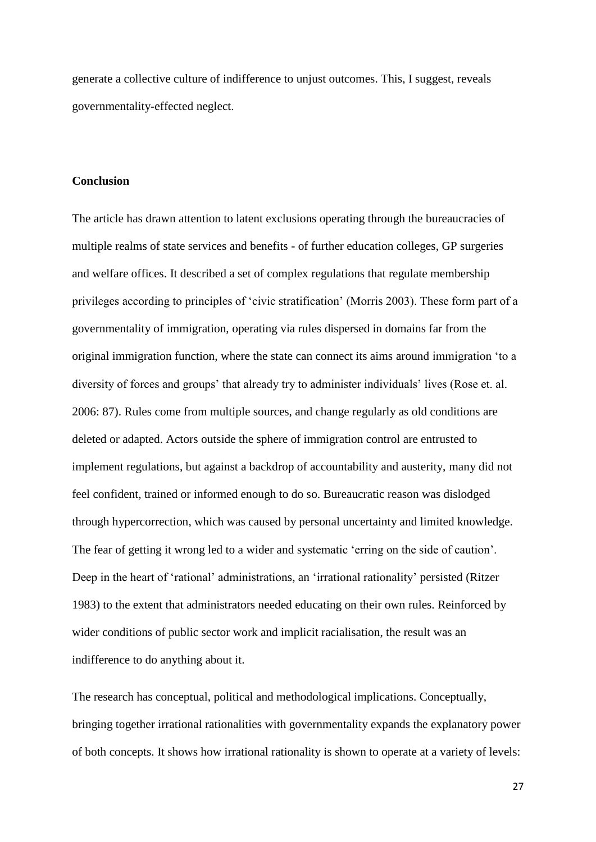generate a collective culture of indifference to unjust outcomes. This, I suggest, reveals governmentality-effected neglect.

# **Conclusion**

The article has drawn attention to latent exclusions operating through the bureaucracies of multiple realms of state services and benefits - of further education colleges, GP surgeries and welfare offices. It described a set of complex regulations that regulate membership privileges according to principles of 'civic stratification' (Morris 2003). These form part of a governmentality of immigration, operating via rules dispersed in domains far from the original immigration function, where the state can connect its aims around immigration 'to a diversity of forces and groups' that already try to administer individuals' lives (Rose et. al. 2006: 87). Rules come from multiple sources, and change regularly as old conditions are deleted or adapted. Actors outside the sphere of immigration control are entrusted to implement regulations, but against a backdrop of accountability and austerity, many did not feel confident, trained or informed enough to do so. Bureaucratic reason was dislodged through hypercorrection, which was caused by personal uncertainty and limited knowledge. The fear of getting it wrong led to a wider and systematic 'erring on the side of caution'. Deep in the heart of 'rational' administrations, an 'irrational rationality' persisted (Ritzer 1983) to the extent that administrators needed educating on their own rules. Reinforced by wider conditions of public sector work and implicit racialisation, the result was an indifference to do anything about it.

The research has conceptual, political and methodological implications. Conceptually, bringing together irrational rationalities with governmentality expands the explanatory power of both concepts. It shows how irrational rationality is shown to operate at a variety of levels: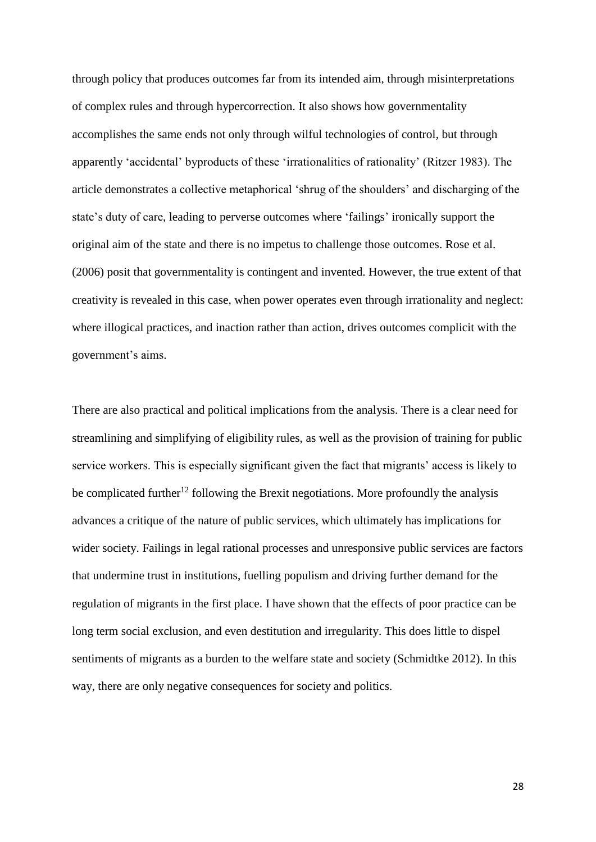through policy that produces outcomes far from its intended aim, through misinterpretations of complex rules and through hypercorrection. It also shows how governmentality accomplishes the same ends not only through wilful technologies of control, but through apparently 'accidental' byproducts of these 'irrationalities of rationality' (Ritzer 1983). The article demonstrates a collective metaphorical 'shrug of the shoulders' and discharging of the state's duty of care, leading to perverse outcomes where 'failings' ironically support the original aim of the state and there is no impetus to challenge those outcomes. Rose et al. (2006) posit that governmentality is contingent and invented. However, the true extent of that creativity is revealed in this case, when power operates even through irrationality and neglect: where illogical practices, and inaction rather than action, drives outcomes complicit with the government's aims.

There are also practical and political implications from the analysis. There is a clear need for streamlining and simplifying of eligibility rules, as well as the provision of training for public service workers. This is especially significant given the fact that migrants' access is likely to be complicated further<sup>12</sup> following the Brexit negotiations. More profoundly the analysis advances a critique of the nature of public services, which ultimately has implications for wider society. Failings in legal rational processes and unresponsive public services are factors that undermine trust in institutions, fuelling populism and driving further demand for the regulation of migrants in the first place. I have shown that the effects of poor practice can be long term social exclusion, and even destitution and irregularity. This does little to dispel sentiments of migrants as a burden to the welfare state and society (Schmidtke 2012). In this way, there are only negative consequences for society and politics.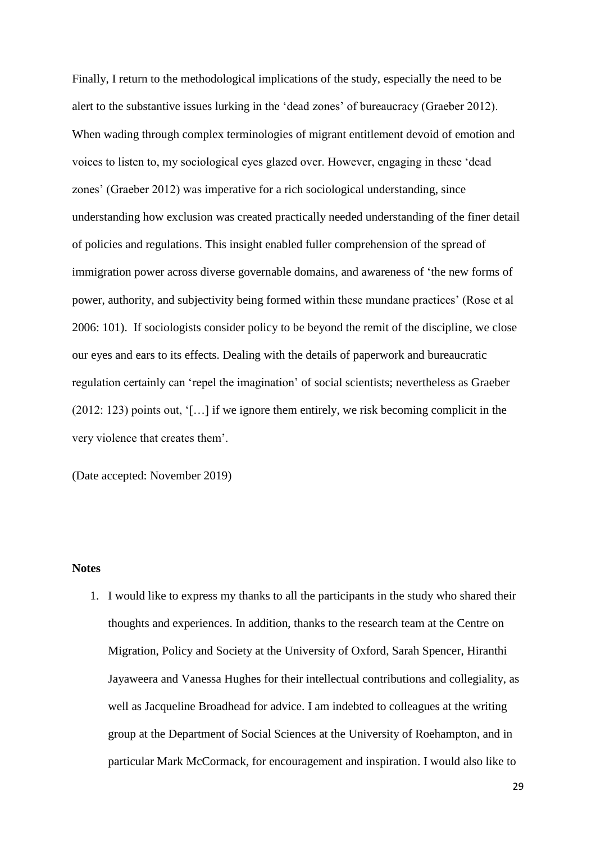Finally, I return to the methodological implications of the study, especially the need to be alert to the substantive issues lurking in the 'dead zones' of bureaucracy (Graeber 2012). When wading through complex terminologies of migrant entitlement devoid of emotion and voices to listen to, my sociological eyes glazed over. However, engaging in these 'dead zones' (Graeber 2012) was imperative for a rich sociological understanding, since understanding how exclusion was created practically needed understanding of the finer detail of policies and regulations. This insight enabled fuller comprehension of the spread of immigration power across diverse governable domains, and awareness of 'the new forms of power, authority, and subjectivity being formed within these mundane practices' (Rose et al 2006: 101). If sociologists consider policy to be beyond the remit of the discipline, we close our eyes and ears to its effects. Dealing with the details of paperwork and bureaucratic regulation certainly can 'repel the imagination' of social scientists; nevertheless as Graeber (2012: 123) points out, '[…] if we ignore them entirely, we risk becoming complicit in the very violence that creates them'.

(Date accepted: November 2019)

#### **Notes**

1. I would like to express my thanks to all the participants in the study who shared their thoughts and experiences. In addition, thanks to the research team at the Centre on Migration, Policy and Society at the University of Oxford, Sarah Spencer, Hiranthi Jayaweera and Vanessa Hughes for their intellectual contributions and collegiality, as well as Jacqueline Broadhead for advice. I am indebted to colleagues at the writing group at the Department of Social Sciences at the University of Roehampton, and in particular Mark McCormack, for encouragement and inspiration. I would also like to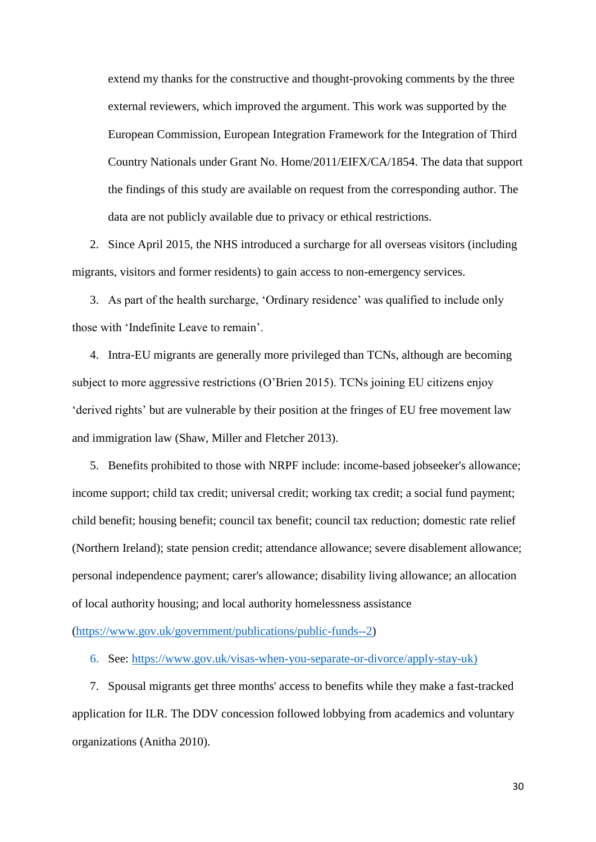extend my thanks for the constructive and thought-provoking comments by the three external reviewers, which improved the argument. This work was supported by the European Commission, European Integration Framework for the Integration of Third Country Nationals under Grant No. Home/2011/EIFX/CA/1854. The data that support the findings of this study are available on request from the corresponding author. The data are not publicly available due to privacy or ethical restrictions.

2. Since April 2015, the NHS introduced a surcharge for all overseas visitors (including migrants, visitors and former residents) to gain access to non-emergency services.

3. As part of the health surcharge, 'Ordinary residence' was qualified to include only those with 'Indefinite Leave to remain'.

4. Intra-EU migrants are generally more privileged than TCNs, although are becoming subject to more aggressive restrictions (O'Brien 2015). TCNs joining EU citizens enjoy 'derived rights' but are vulnerable by their position at the fringes of EU free movement law and immigration law (Shaw, Miller and Fletcher 2013).

5. Benefits prohibited to those with NRPF include: income-based jobseeker's allowance; income support; child tax credit; universal credit; working tax credit; a social fund payment; child benefit; housing benefit; council tax benefit; council tax reduction; domestic rate relief (Northern Ireland); state pension credit; attendance allowance; severe disablement allowance; personal independence payment; carer's allowance; disability living allowance; an allocation of local authority housing; and local authority homelessness assistance

[\(https://www.gov.uk/government/publications/public-funds--2\)](https://www.gov.uk/government/publications/public-funds--2)

6. See: [https://www.gov.uk/visas-when-you-separate-or-divorce/apply-stay-uk\)](https://www.gov.uk/visas-when-you-separate-or-divorce/apply-stay-uk)

7. Spousal migrants get three months' access to benefits while they make a fast-tracked application for ILR. The DDV concession followed lobbying from academics and voluntary organizations (Anitha 2010).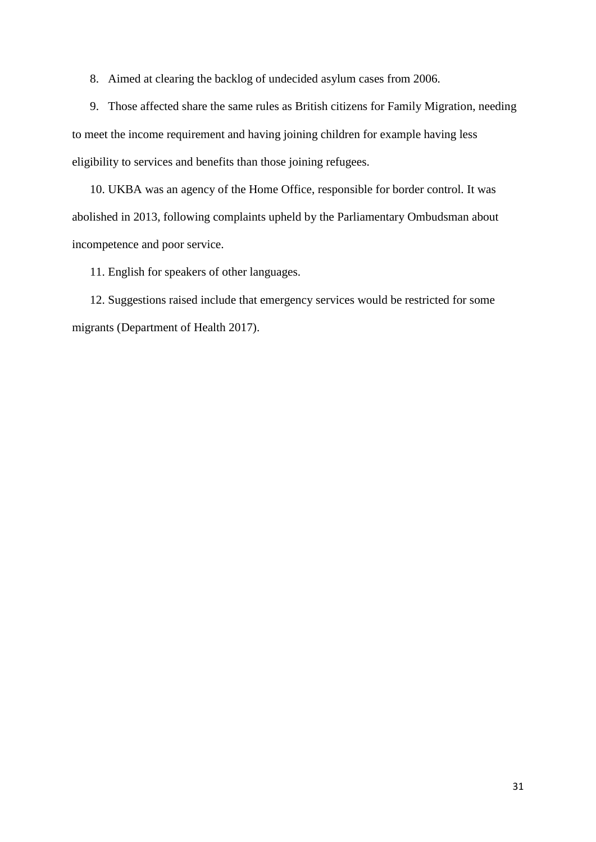8. Aimed at clearing the backlog of undecided asylum cases from 2006.

9. Those affected share the same rules as British citizens for Family Migration, needing to meet the income requirement and having joining children for example having less eligibility to services and benefits than those joining refugees.

10. UKBA was an agency of the Home Office, responsible for border control. It was abolished in 2013, following complaints upheld by the Parliamentary Ombudsman about incompetence and poor service.

11. English for speakers of other languages.

12. Suggestions raised include that emergency services would be restricted for some migrants (Department of Health 2017).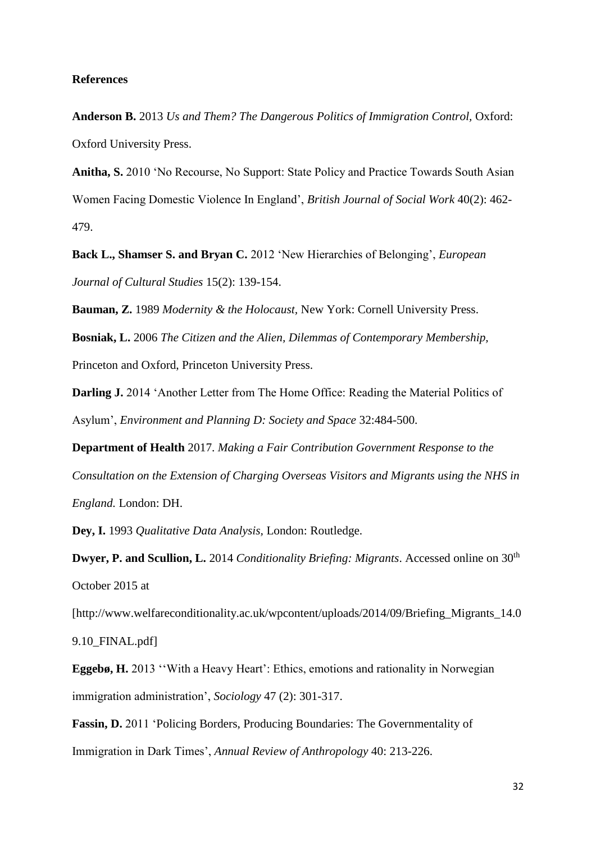#### **References**

**Anderson B.** 2013 *Us and Them? The Dangerous Politics of Immigration Control,* Oxford: Oxford University Press.

**Anitha, S.** 2010 'No Recourse, No Support: State Policy and Practice Towards South Asian Women Facing Domestic Violence In England', *British Journal of Social Work* 40(2): 462- 479.

**Back L., Shamser S. and Bryan C.** 2012 'New Hierarchies of Belonging', *European Journal of Cultural Studies* 15(2): 139-154.

**Bauman, Z.** 1989 *Modernity & the Holocaust,* New York: Cornell University Press.

**Bosniak, L.** 2006 *The Citizen and the Alien, Dilemmas of Contemporary Membership,* 

Princeton and Oxford, Princeton University Press.

**Darling J.** 2014 'Another Letter from The Home Office: Reading the Material Politics of Asylum', *Environment and Planning D: Society and Space* 32:484-500.

**Department of Health** 2017. *Making a Fair Contribution Government Response to the Consultation on the Extension of Charging Overseas Visitors and Migrants using the NHS in England.* London: DH.

**Dey, I.** 1993 *Qualitative Data Analysis,* London: Routledge.

**Dwyer, P. and Scullion, L.** 2014 *Conditionality Briefing: Migrants.* Accessed online on 30<sup>th</sup> October 2015 at

[http://www.welfareconditionality.ac.uk/wpcontent/uploads/2014/09/Briefing Migrants 14.0

9.10\_FINAL.pdf]

**Eggebø, H.** 2013 ''With a Heavy Heart': Ethics, emotions and rationality in Norwegian immigration administration', *Sociology* 47 (2): 301-317.

**Fassin, D.** 2011 'Policing Borders, Producing Boundaries: The Governmentality of Immigration in Dark Times', *[Annual Review of Anthropology](https://papers.ssrn.com/sol3/papers.cfm?abstract_id=1950866##)* 40: 213-226.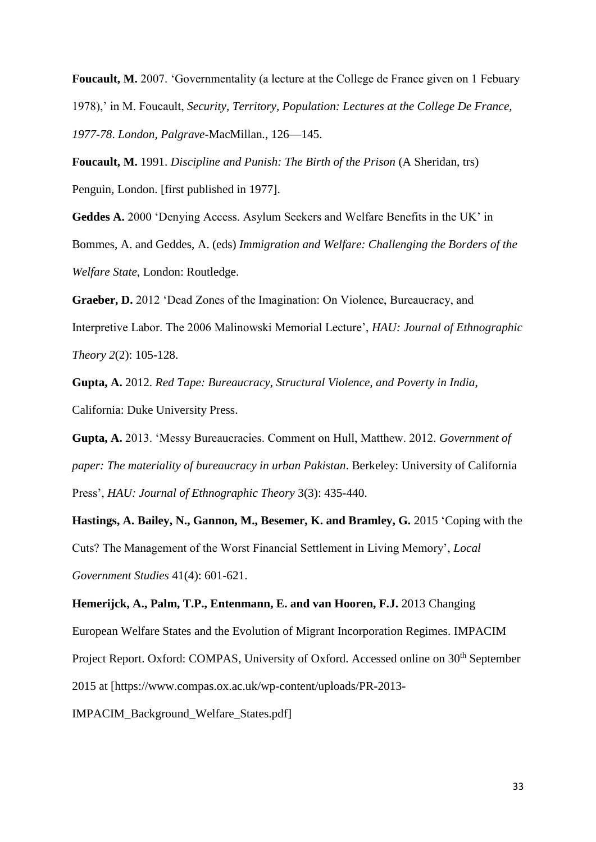**Foucault, M.** 2007. 'Governmentality (a lecture at the College de France given on 1 Febuary 1978),' in M. Foucault, *Security, Territory, Population: Lectures at the College De France, 1977-78*. *London, Palgrave-*MacMillan*.*, 126—145.

**Foucault, M.** 1991. *Discipline and Punish: The Birth of the Prison* (A Sheridan, trs) Penguin, London. [first published in 1977].

**Geddes A.** 2000 'Denying Access. Asylum Seekers and Welfare Benefits in the UK' in Bommes, A. and Geddes, A. (eds) *Immigration and Welfare: Challenging the Borders of the Welfare State*, London: Routledge.

**Graeber, D.** 2012 'Dead Zones of the Imagination: On Violence, Bureaucracy, and Interpretive Labor. The 2006 Malinowski Memorial Lecture', *HAU: Journal of Ethnographic Theory 2*(2): 105-128.

**Gupta, A.** 2012. *Red Tape: Bureaucracy, Structural Violence, and Poverty in India*, California: Duke University Press.

**Gupta, A.** 2013. 'Messy Bureaucracies. Comment on Hull, Matthew. 2012. *Government of paper: The materiality of bureaucracy in urban Pakistan*. Berkeley: University of California Press', *HAU: Journal of Ethnographic Theory* 3(3): 435-440.

**Hastings, A. Bailey, N., Gannon, M., Besemer, K. and Bramley, G.** 2015 'Coping with the Cuts? The Management of the Worst Financial Settlement in Living Memory', *Local Government Studies* 41(4): 601-621.

**Hemerijck, A., Palm, T.P., Entenmann, E. and van Hooren, F.J.** 2013 Changing European Welfare States and the Evolution of Migrant Incorporation Regimes. IMPACIM Project Report. Oxford: COMPAS, University of Oxford. Accessed online on 30<sup>th</sup> September 2015 at [https://www.compas.ox.ac.uk/wp-content/uploads/PR-2013- IMPACIM\_Background\_Welfare\_States.pdf]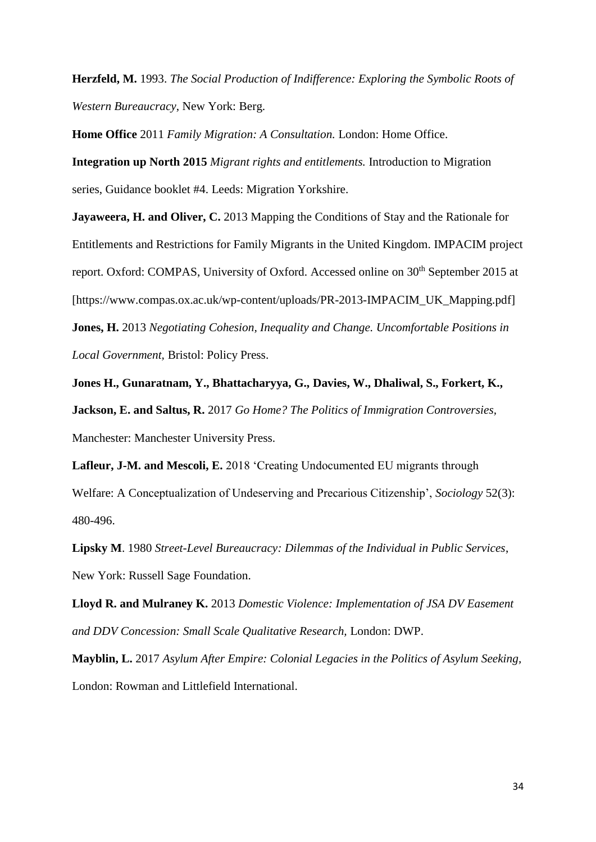**Herzfeld, M.** 1993. *The Social Production of Indifference: Exploring the Symbolic Roots of Western Bureaucracy*, New York: Berg.

**Home Office** 2011 *Family Migration: A Consultation.* London: Home Office.

**Integration up North 2015** *Migrant rights and entitlements.* Introduction to Migration series, Guidance booklet #4. Leeds: Migration Yorkshire.

**Jayaweera, H. and Oliver, C.** 2013 Mapping the Conditions of Stay and the Rationale for Entitlements and Restrictions for Family Migrants in the United Kingdom. IMPACIM project report. Oxford: COMPAS, University of Oxford. Accessed online on 30<sup>th</sup> September 2015 at [https://www.compas.ox.ac.uk/wp-content/uploads/PR-2013-IMPACIM\_UK\_Mapping.pdf] **Jones, H.** 2013 *Negotiating Cohesion, Inequality and Change. Uncomfortable Positions in Local Government,* Bristol: Policy Press.

**Jones H., Gunaratnam, Y., Bhattacharyya, G., Davies, W., Dhaliwal, S., Forkert, K., Jackson, E. and Saltus, R.** 2017 *Go Home? The Politics of Immigration Controversies,*  Manchester: Manchester University Press.

**Lafleur, J-M. and Mescoli, E.** 2018 'Creating Undocumented EU migrants through Welfare: A Conceptualization of Undeserving and Precarious Citizenship', *Sociology* 52(3): 480-496.

**Lipsky M**. 1980 *Street-Level Bureaucracy: Dilemmas of the Individual in Public Services*, New York: Russell Sage Foundation.

**Lloyd R. and Mulraney K.** 2013 *Domestic Violence: Implementation of JSA DV Easement and DDV Concession: Small Scale Qualitative Research,* London: DWP.

**Mayblin, L.** 2017 *Asylum After Empire: Colonial Legacies in the Politics of Asylum Seeking,*  London: Rowman and Littlefield International.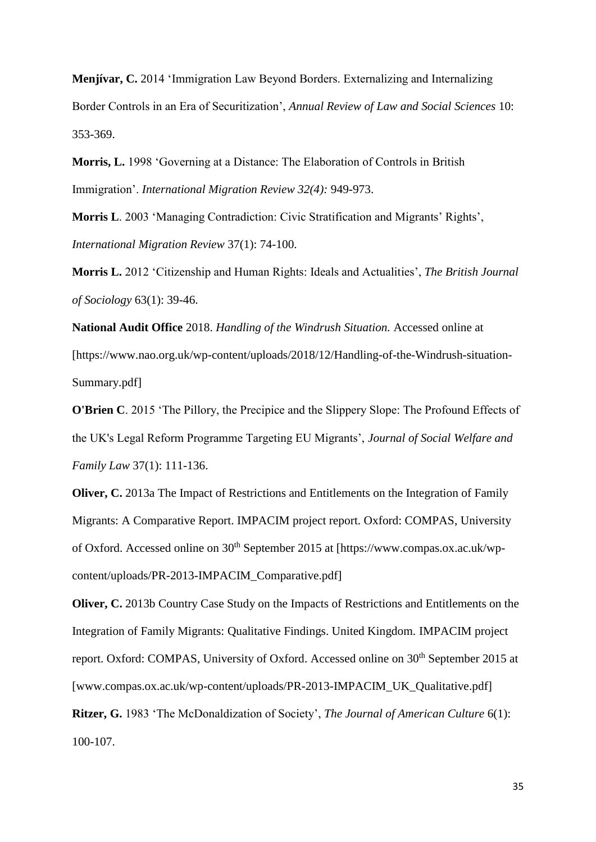**Menjívar, C.** 2014 'Immigration Law Beyond Borders. Externalizing and Internalizing Border Controls in an Era of Securitization', *Annual Review of Law and Social Sciences* 10: 353-369.

**Morris, L.** 1998 'Governing at a Distance: The Elaboration of Controls in British Immigration'. *International Migration Review 32(4):* 949-973.

**Morris L**. 2003 'Managing Contradiction: Civic Stratification and Migrants' Rights', *International Migration Review* 37(1): 74-100.

**Morris L.** 2012 'Citizenship and Human Rights: Ideals and Actualities', *The British Journal of Sociology* 63(1): 39-46.

**National Audit Office** 2018. *Handling of the Windrush Situation.* Accessed online at [https://www.nao.org.uk/wp-content/uploads/2018/12/Handling-of-the-Windrush-situation-Summary.pdf]

**O'Brien C.** 2015 'The Pillory, the Precipice and the Slippery Slope: The Profound Effects of the UK's Legal Reform Programme Targeting EU Migrants', *Journal of Social Welfare and Family Law* 37(1): 111-136.

**Oliver, C.** 2013a The Impact of Restrictions and Entitlements on the Integration of Family Migrants: A Comparative Report. IMPACIM project report. Oxford: COMPAS, University of Oxford. Accessed online on 30<sup>th</sup> September 2015 at [https://www.compas.ox.ac.uk/wpcontent/uploads/PR-2013-IMPACIM\_Comparative.pdf]

**Oliver, C.** 2013b Country Case Study on the Impacts of Restrictions and Entitlements on the Integration of Family Migrants: Qualitative Findings. United Kingdom. IMPACIM project report. Oxford: COMPAS, University of Oxford. Accessed online on 30<sup>th</sup> September 2015 at [www.compas.ox.ac.uk/wp-content/uploads/PR-2013-IMPACIM\_UK\_Qualitative.pdf]

**Ritzer, G.** 1983 'The McDonaldization of Society', *The Journal of American Culture* 6(1): 100-107.